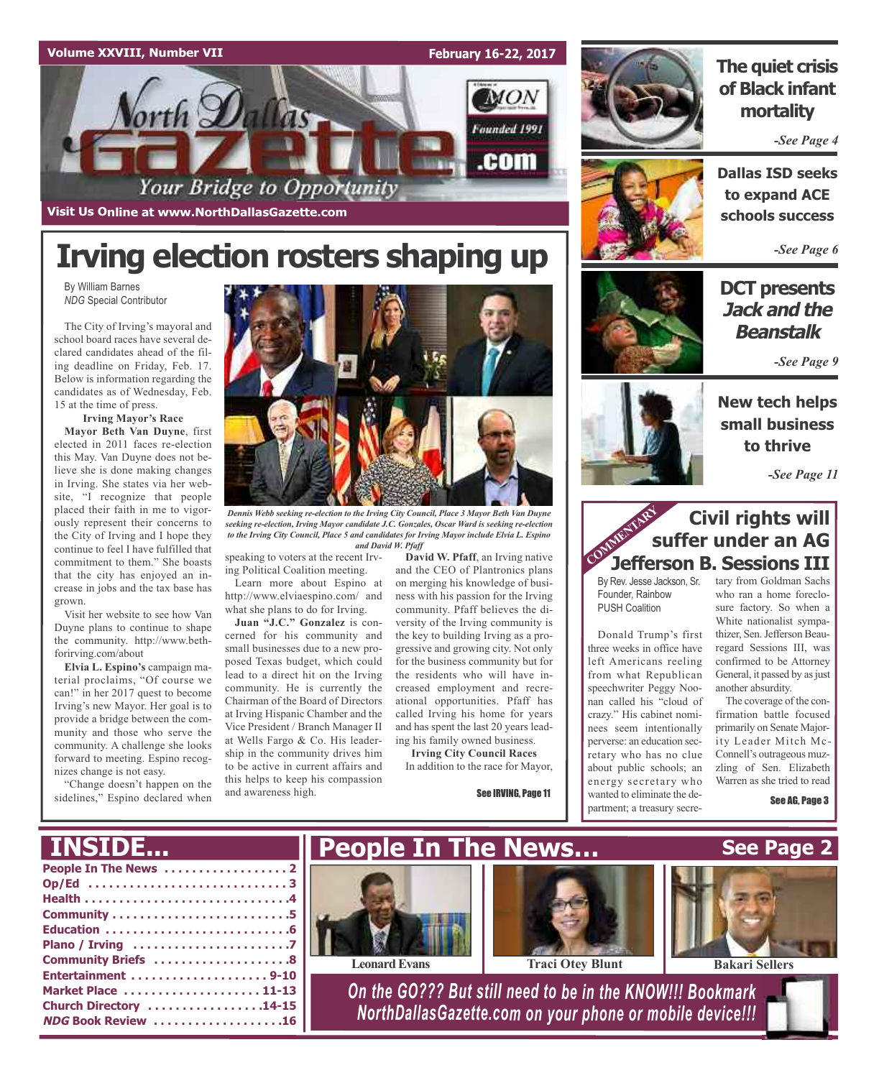

**Visit Us Online at www.NorthDallasGazette.com**

orth **D**a

**February 16-22, 2017**

 $MON$ 

Founded 1991

.com



### **The quiet crisis of Black infant mortality**

*-See Page 4*

**Dallas ISD seeks to expand ACE schools success**

*-See Page 6*

### **DCT presents Jack and the Beanstalk**

*-See Page 9*



**small business to thrive**

*-See Page 11*

### **Civil rights will suffer under an AG Civil rights will**<br> **Suffer under an AG<br>
Jefferson B. Sessions III**

left Americans reeling from what Republican speechwriter Peggy Noonan called his "cloud of crazy." His cabinet nomiperverse: an education secabout public schools; an wanted to eliminate the de-

confirmed to be Attorney General, it passed by as just another absurdity.

The coverage of the confirmation battle focused primarily on Senate Majority Leader Mitch Mc-Connell's outrageous muzzling of Sen. Elizabeth Warren as she tried to read

See AG, Page 3



Your Bridge to Opportunity

*NDG* Special Contributor The City of Irving's mayoral and

school board races have several declared candidates ahead of the filing deadline on Friday, Feb. 17. Below is information regarding the candidates as of Wednesday, Feb. 15 at the time of press.

**Irving Mayor's Race**

**Mayor Beth Van Duyne**, first elected in 2011 faces re-election this May. Van Duyne does not believe she is done making changes in Irving. She states via her website, "I recognize that people placed their faith in me to vigorously represent their concerns to the City of Irving and I hope they continue to feel I have fulfilled that commitment to them." She boasts that the city has enjoyed an increase in jobs and the tax base has grown.

Visit her website to see how Van Duyne plans to continue to shape the community. http://www.bethforirving.com/about

**Elvia L. Espino's** campaign material proclaims, "Of course we can!" in her 2017 quest to become Irving's new Mayor. Her goal is to provide a bridge between the community and those who serve the community. A challenge she looks forward to meeting. Espino recognizes change is not easy.

"Change doesn't happen on the sidelines," Espino declared when

**INSIDE...**



*Dennis Webb seeking re-election to the Irving City Council, Place 3 Mayor Beth Van Duyne seeking re-election, Irving Mayor candidate J.C. Gonzales, Oscar Ward is seeking re-election to the Irving City Council, Place 5 and candidates for Irving Mayor include Elvia L. Espino and David W. Pfaff*

speaking to voters at the recent Irving Political Coalition meeting.

Learn more about Espino at http://www.elviaespino.com/ and what she plans to do for Irving.

**Juan "J.C." Gonzalez** is concerned for his community and small businesses due to a new proposed Texas budget, which could lead to a direct hit on the Irving community. He is currently the Chairman of the Board of Directors at Irving Hispanic Chamber and the Vice President / Branch Manager II at Wells Fargo & Co. His leadership in the community drives him to be active in current affairs and this helps to keep his compassion and awareness high.

**David W. Pfaff**, an Irving native and the CEO of Plantronics plans on merging his knowledge of business with his passion for the Irving community. Pfaff believes the diversity of the Irving community is the key to building Irving as a progressive and growing city. Not only for the business community but for the residents who will have increased employment and recreational opportunities. Pfaff has called Irving his home for years and has spent the last 20 years leading his family owned business.

In addition to the race for Mayor,



#### By Rev. Jesse Jackson, Sr. Founder, Rainbow PUSH Coalition Donald Trump's first three weeks in office have tary from Goldman Sachs who ran a home foreclosure factory. So when a White nationalist sympathizer, Sen.Jefferson Beauregard Sessions III, was



| I INSIDE               |  |
|------------------------|--|
|                        |  |
|                        |  |
|                        |  |
|                        |  |
|                        |  |
|                        |  |
| Community Briefs 8     |  |
| Entertainment 9-10     |  |
| Market Place  11-13    |  |
| Church Directory 14-15 |  |
| NDG Book Review 16     |  |
|                        |  |

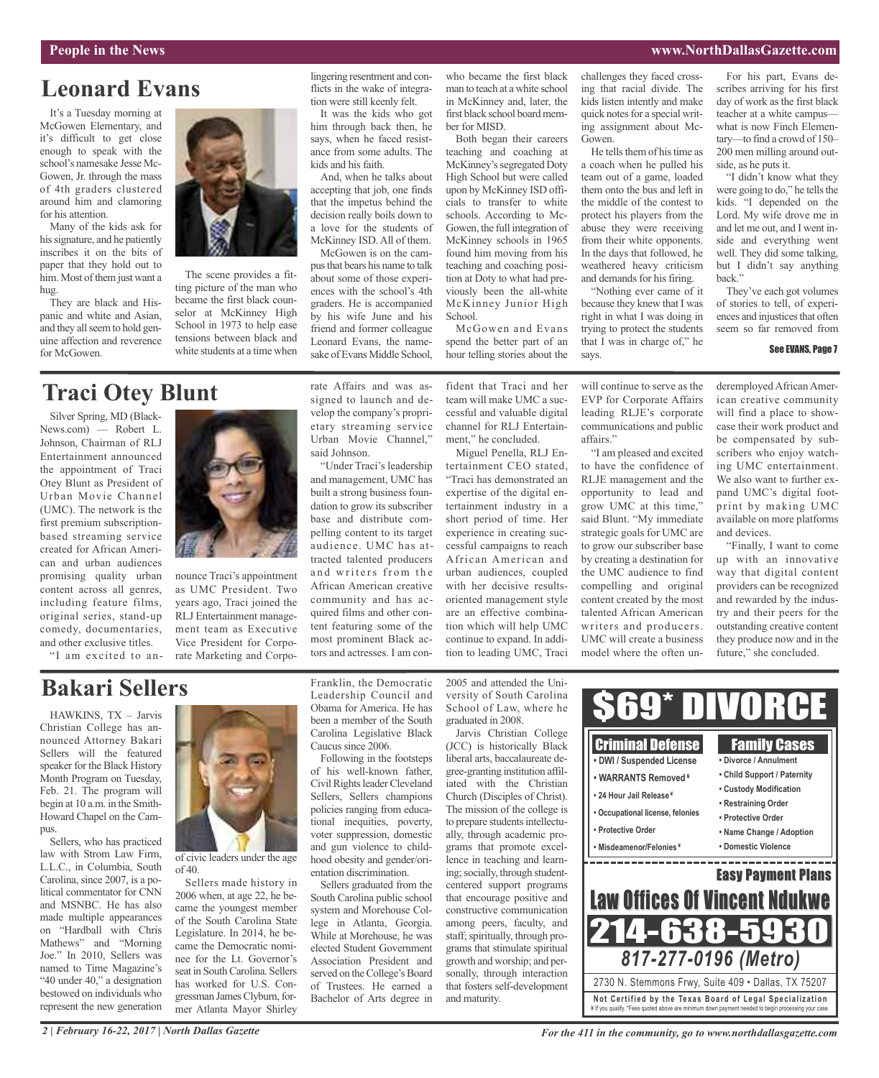### **Leonard Evans**

It's a Tuesday morning at McGowen Elementary, and it's difficult to get close enough to speak with the school's namesake Jesse Mc-Gowen, Jr. through the mass of 4th graders clustered around him and clamoring for his attention.

Many of the kids ask for his signature, and he patiently inscribes it on the bits of paper that they hold out to him. Most of them just want a hug.

They are black and Hispanic and white and Asian, and they all seem to hold genuine affection and reverence for McGowen.



The scene provides a fitting picture of the man who became the first black counselor at McKinney High School in 1973 to help ease tensions between black and white students at a time when

### **Traci Otey Blunt**

Silver Spring, MD (Black-News.com) — Robert L. Johnson, Chairman of RLJ Entertainment announced the appointment of Traci Otey Blunt as President of Urban Movie Channel (UMC). The network is the first premium subscriptionbased streaming service created for African American and urban audiences promising quality urban content across all genres, including feature films, original series, stand-up comedy, documentaries, and other exclusive titles.

"I am excited to an-



nounce Traci's appointment as UMC President. Two years ago, Traci joined the RLJ Entertainment management team as Executive Vice President for Corporate Marketing and Corporate Affairs and was assigned to launch and develop the company's proprietary streaming service Urban Movie Channel," said Johnson.

lingering resentment and conflicts in the wake of integration were still keenly felt. It was the kids who got him through back then, he says, when he faced resistance from some adults. The

And, when he talks about accepting that job, one finds that the impetus behind the decision really boils down to a love for the students of McKinney ISD. All of them. McGowen is on the campusthat bears his name to talk about some of those experiences with the school's 4th graders. He is accompanied by his wife June and his friend and former colleague Leonard Evans, the namesake of Evans Middle School,

kids and his faith.

"Under Traci's leadership and management, UMC has built a strong business foundation to grow its subscriber base and distribute compelling content to its target audience. UMC has attracted talented producers and writers from the African American creative community and has acquired films and other content featuring some of the most prominent Black actors and actresses. I am conwho became the first black man to teach at a white school in McKinney and, later, the first black school board member for MISD.

Both began their careers teaching and coaching at McKinney's segregated Doty High School but were called upon by McKinney ISD officials to transfer to white schools. According to Mc-Gowen, the full integration of McKinney schools in 1965 found him moving from his teaching and coaching position at Doty to what had previously been the all-white McKinney Junior High School.

McGowen and Evans spend the better part of an hour telling stories about the challenges they faced crossing that racial divide. The kids listen intently and make quick notes for a special writing assignment about Mc-Gowen.

He tells them of his time as a coach when he pulled his team out of a game, loaded them onto the bus and left in the middle of the contest to protect his players from the abuse they were receiving from their white opponents. In the days that followed, he weathered heavy criticism and demands for his firing.

"Nothing ever came of it because they knew that I was right in what I was doing in trying to protect the students that I was in charge of," he says.

affairs."

For his part, Evans describes arriving for his first day of work as the first black teacher at a white campus what is now Finch Elementary—to find a crowd of 150– 200 men milling around outside, as he puts it.

"I didn't know what they were going to do," he tells the kids. "I depended on the Lord. My wife drove me in and let me out, and I went inside and everything went well. They did some talking, but I didn't say anything back."

They've each got volumes of stories to tell, of experiences and injustices that often seem so far removed from

#### See EVANS, Page 7

will continue to serve as the EVP for Corporate Affairs leading RLJE's corporate communications and public "I am pleased and excited to have the confidence of

RLJE management and the opportunity to lead and grow UMC at this time," said Blunt. "My immediate strategic goals for UMC are to grow our subscriber base by creating a destination for the UMC audience to find compelling and original content created by the most talented African American writers and producers. UMC will create a business model where the often underemployed African American creative community will find a place to showcase their work product and be compensated by subscribers who enjoy watching UMC entertainment. We also want to further expand UMC's digital footprint by making UMC available on more platforms and devices.

"Finally, I want to come up with an innovative way that digital content providers can be recognized and rewarded by the industry and their peers for the outstanding creative content they produce now and in the future," she concluded.

Family Cases **• Divorce / Annulment • Child Support / Paternity • Custody Modification • Restraining Order • Protective Order • Name Change / Adoption • Domestic Violence**

### **Bakari Sellers**

HAWKINS, TX – Jarvis Christian College has announced Attorney Bakari Sellers will the featured speaker for the Black History Month Program on Tuesday, Feb. 21. The program will begin at 10 a.m. in the Smith-Howard Chapel on the Campus

Sellers, who has practiced law with Strom Law Firm, L.L.C., in Columbia, South Carolina, since 2007, is a political commentator for CNN and MSNBC. He has also made multiple appearances on "Hardball with Chris Mathews" and "Morning Joe." In 2010, Sellers was named to Time Magazine's "40 under 40," a designation bestowed on individuals who represent the new generation



 $of 40.$ 

Sellers made history in 2006 when, at age 22, he became the youngest member of the South Carolina State Legislature. In 2014, he became the Democratic nominee for the Lt. Governor's seat in South Carolina. Sellers has worked for U.S. Congressman James Clyburn, former Atlanta Mayor Shirley Franklin, the Democratic Leadership Council and Obama for America. He has been a member of the South Carolina Legislative Black Caucus since 2006.

Following in the footsteps of his well-known father, Civil Rights leader Cleveland Sellers, Sellers champions policies ranging from educational inequities, poverty, voter suppression, domestic and gun violence to childhood obesity and gender/orientation discrimination.

Sellers graduated from the South Carolina public school system and Morehouse College in Atlanta, Georgia. While at Morehouse, he was elected Student Government Association President and served on the College's Board of Trustees. He earned a Bachelor of Arts degree in 2005 and attended the University of South Carolina School of Law, where he graduated in 2008.

(JCC) is historically Black liberal arts, baccalaureate degree-granting institution affiliated with the Christian Church (Disciples of Christ). The mission of the college is to prepare students intellectually, through academic programs that promote excellence in teaching and learning; socially, through studentcentered support programs that encourage positive and constructive communication among peers, faculty, and staff; spiritually, through programs that stimulate spiritual growth and worship; and personally, through interaction that fosters self-development and maturity.



**• DWI / Suspended License • WARRANTS Removed ¥**

- **• 24 Hour Jail Release ¥**
- **• Occupational license, felonies**
- **• Protective Order**
- **• Misdeamenor/Felonies ¥**





**Not Ce rtified by the Te x a s Boa rd of Lega l Spe c ia l i za tion** ¥ If you qualify. \*Fees quoted above are minimum down payment needed to begin processing your case.

"Traci has demonstrated an expertise of the digital entertainment industry in a short period of time. Her experience in creating successful campaigns to reach African American and

fident that Traci and her team will make UMC a successful and valuable digital channel for RLJ Entertainment," he concluded. Miguel Penella, RLJ En-

tertainment CEO stated,

urban audiences, coupled with her decisive resultsoriented management style are an effective combination which will help UMC continue to expand. In addition to leading UMC, Traci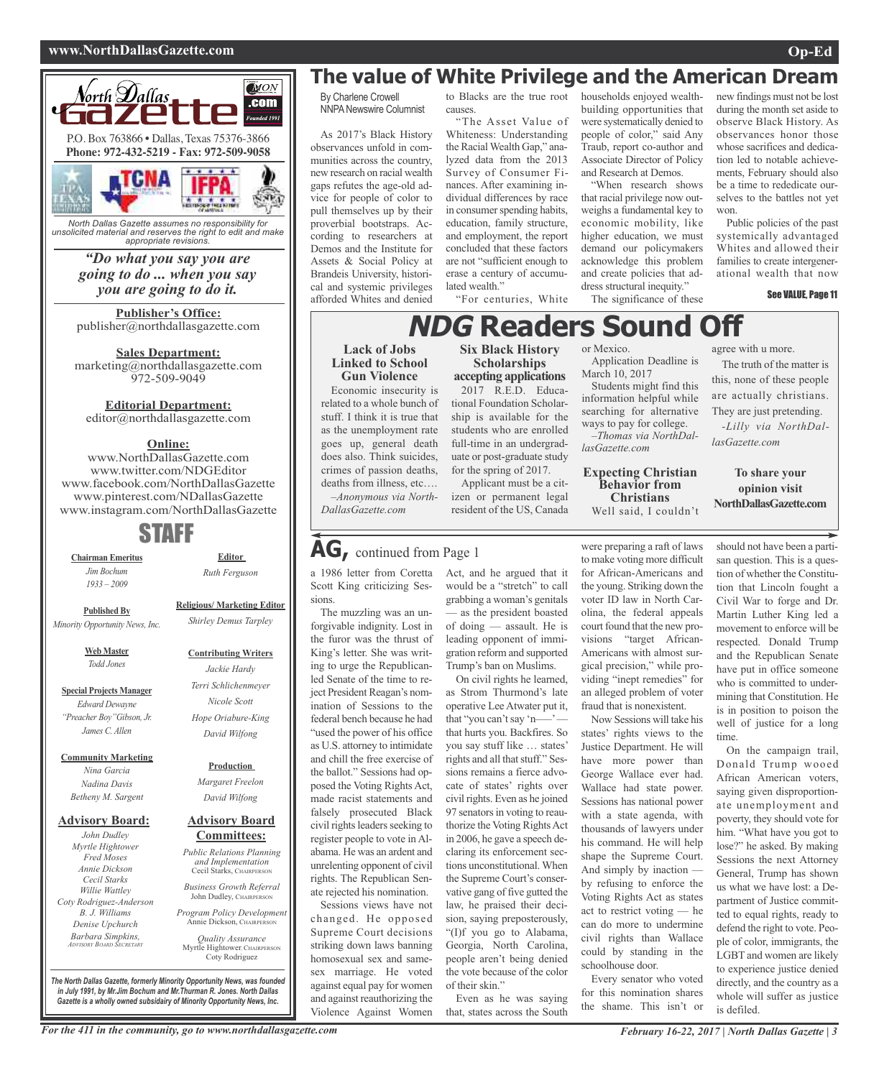#### **www.NorthDallasGazette.com Op-Ed**



*North Dallas Gazette assumes no responsibility for unsolicited material and reserves the right to edit and make appropriate revisions.*

### *"Do what you say you are going to do ... when you say you are going to do it.*

**Publisher's Office:** publisher@northdallasgazette.com

**Sales Department:** marketing@northdallasgazette.com 972-509-9049

### **Editorial Department:**

editor@northdallasgazette.com

### **Online:**

www.NorthDallasGazette.com www.twitter.com/NDGEditor www.facebook.com/NorthDallasGazette www.pinterest.com/NDallasGazette www.instagram.com/NorthDallasGazette

### STAFF

**Chairman Emeritus** *Jim Bochum 1933 – 2009*

*Ruth Ferguson* **Religious/ Marketing Editor**

*Shirley Demus Tarpley*

**Editor**

**Published By** *Minority Opportunity News, Inc.*

> **Web Master** *Todd Jones*

**Special Projects Manager** *Edward Dewayne "Preacher Boy"Gibson, Jr. James C. Allen*

**Community Marketing**

*Nina Garcia Nadina Davis Betheny M. Sargent*

#### **Advisory Board:**

*John Dudley Myrtle Hightower Fred Moses Annie Dickson Cecil Starks Willie Wattley Coty Rodriguez-Anderson B. J. Williams Denise Upchurch Barbara Simpkins, ADVISORY BOARD SECRETARY*

**Advisory Board** *Margaret Freelon David Wilfong*

## *Public Relations Planning and Implementation*

*Business Growth Referral* John Dudley, CHAIRPERSON

Annie Dickson, CHAIRPERS

Coty Rodriguez

*The North Dallas Gazette, formerly Minority Opportunity News, was founded in July 1991, by Mr.Jim Bochum and Mr.Thurman R. Jones. North Dallas Gazette is a wholly owned subsidairy of Minority Opportunity News, Inc.*

### **The value of White Privilege and the American Dream**

By Charlene Crowell NNPANewswire Columnist

As 2017's Black History observances unfold in communities across the country, new research on racial wealth gaps refutes the age-old advice for people of color to pull themselves up by their proverbial bootstraps. According to researchers at Demos and the Institute for Assets & Social Policy at Brandeis University, historical and systemic privileges afforded Whites and denied

**Lack of Jobs Linked to School Gun Violence** Economic insecurity is related to a whole bunch of stuff. I think it is true that as the unemployment rate goes up, general death does also. Think suicides, crimes of passion deaths, deaths from illness, etc…. *–Anonymous via North-*

*DallasGazette.com*

Scott King criticizing Ses-

**AG,** continued from Page <sup>1</sup>

The muzzling was an unforgivable indignity. Lost in the furor was the thrust of King's letter. She was writing to urge the Republicanled Senate of the time to reject President Reagan's nomination of Sessions to the federal bench because he had "used the power of his office as U.S. attorney to intimidate and chill the free exercise of the ballot." Sessions had opposed the Voting Rights Act, made racist statements and falsely prosecuted Black civil rights leaders seeking to register people to vote in Alabama. He was an ardent and unrelenting opponent of civil rights. The Republican Senate rejected his nomination. Sessions views have not changed. He opposed Supreme Court decisions striking down laws banning homosexual sex and samesex marriage. He voted against equal pay for women and against reauthorizing the Violence Against Women

sions.

a 1986 letter from Coretta Act, and he argued that it

to Blacks are the true root causes.

"The Asset Value of Whiteness: Understanding the Racial Wealth Gap," analyzed data from the 2013 Survey of Consumer Finances. After examining individual differences by race in consumer spending habits, education, family structure, and employment, the report concluded that these factors are not "sufficient enough to erase a century of accumulated wealth."

"For centuries, White

#### households enjoyed wealthbuilding opportunities that were systematically denied to people of color," said Any Traub, report co-author and Associate Director of Policy and Research at Demos.

"When research shows that racial privilege now outweighs a fundamental key to economic mobility, like higher education, we must demand our policymakers acknowledge this problem and create policies that address structural inequity."

The significance of these

new findings must not be lost during the month set aside to observe Black History. As observances honor those whose sacrifices and dedication led to notable achievements, February should also be a time to rededicate ourselves to the battles not yet won.

Public policies of the past systemically advantaged Whites and allowed their families to create intergenerational wealth that now

The truth of the matter is this, none of these people are actually christians. They are just pretending. *-Lilly via NorthDal-*

**To share your opinion visit NorthDallasGazette.com**

*lasGazette.com*

#### See VALUE, Page 11

**Six Black History** or Mexico. agree with u more. **NDG** Readers Sound

**Scholarships accepting applications**

2017 R.E.D. Educational Foundation Scholarship is available for the students who are enrolled full-time in an undergraduate or post-graduate study for the spring of 2017.

Applicant must be a citizen or permanent legal resident of the US, Canada

would be a "stretch" to call grabbing a woman's genitals as the president boasted of doing — assault. He is leading opponent of immigration reform and supported Trump's ban on Muslims. On civil rights he learned, as Strom Thurmond's late operative Lee Atwater put it, that "you can't say 'n—– that hurts you. Backfires. So you say stuff like … states' rights and all that stuff." Sessions remains a fierce advocate of states' rights over civil rights. Even as he joined 97 senators in voting to reauthorize the Voting Rights Act in 2006, he gave a speech declaring its enforcement sections unconstitutional. When the Supreme Court's conservative gang of five gutted the law, he praised their decision, saying preposterously, "(I)f you go to Alabama, Georgia, North Carolina, people aren't being denied the vote because of the color

of their skin."

Even as he was saying that, states across the South

Application Deadline is March 10, 2017

Students might find this information helpful while searching for alternative ways to pay for college.

*–Thomas via NorthDallasGazette.com*

#### **Expecting Christian Behavior from Christians**

Well said, I couldn't

were preparing a raft of laws to make voting more difficult for African-Americans and the young. Striking down the voter ID law in North Carolina, the federal appeals court found that the new provisions "target African-Americans with almost surgical precision," while providing "inept remedies" for an alleged problem of voter fraud that is nonexistent.

Now Sessions will take his states' rights views to the Justice Department. He will have more power than George Wallace ever had. Wallace had state power. Sessions has national power with a state agenda, with thousands of lawyers under his command. He will help shape the Supreme Court. And simply by inaction by refusing to enforce the Voting Rights Act as states act to restrict voting — he can do more to undermine civil rights than Wallace could by standing in the schoolhouse door.

Every senator who voted for this nomination shares the shame. This isn't or

should not have been a partisan question. This is a question of whether the Constitution that Lincoln fought a Civil War to forge and Dr. Martin Luther King led a movement to enforce will be respected. Donald Trump and the Republican Senate have put in office someone who is committed to undermining that Constitution. He is in position to poison the well of justice for a long time.

On the campaign trail, Donald Trump wooed African American voters, saying given disproportionate unemployment and poverty, they should vote for him. "What have you got to lose?" he asked. By making Sessions the next Attorney General, Trump has shown us what we have lost: a Department of Justice committed to equal rights, ready to defend the right to vote. People of color, immigrants, the LGBT and women are likely to experience justice denied directly, and the country as a whole will suffer as justice is defiled.

For the 411 in the community, go to www.northdallasgazette.com February 16-22, 2017 | North Dallas Gazette | 3

### **Contributing Writers** *Jackie Hardy Terri Schlichenmeyer Nicole Scott*

# *David Wilfong*

**Production**

Cecil Starks, CHAIRPERSON

*Program Policy Development*

Myrtle Hightower, CHAIRPERSON

# *Hope Oriabure-King*

## **Committees:**

### *Quality Assurance*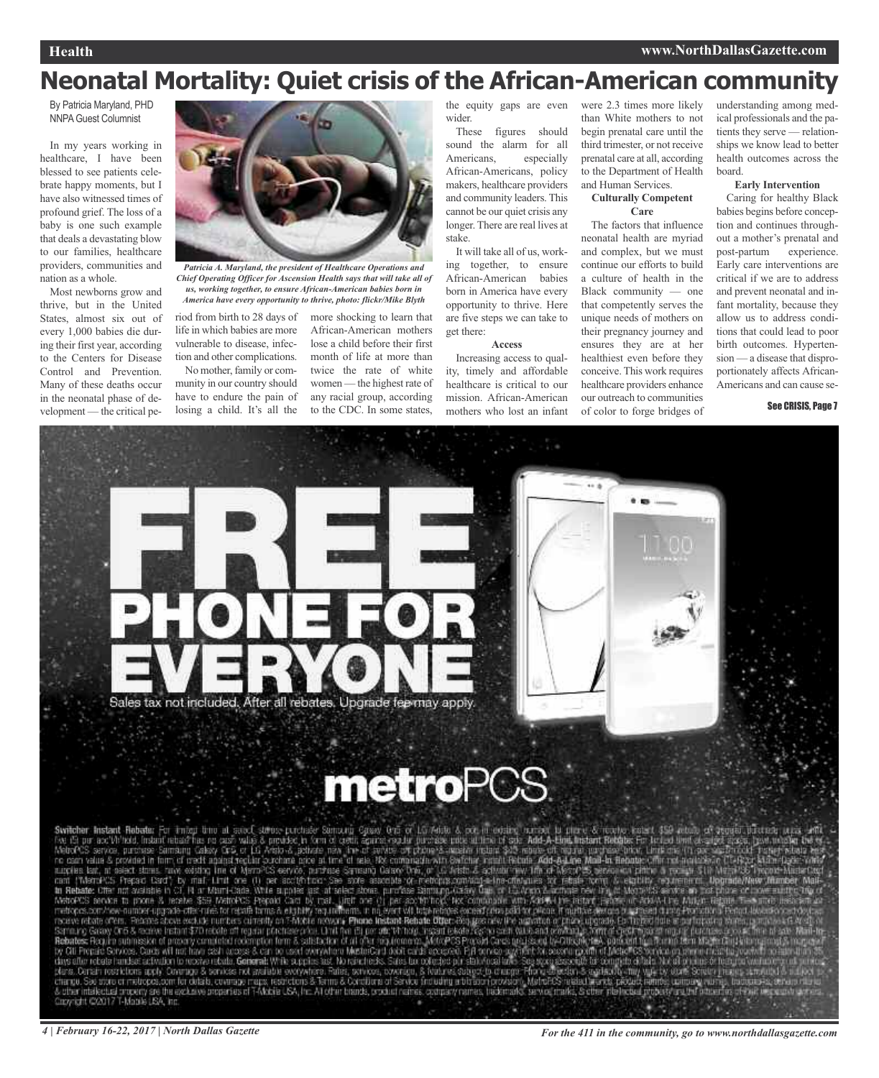## **Neonatal Mortality: Quiet crisis of the African-American community**

By Patricia Maryland, PHD NNPAGuest Columnist

In my years working in healthcare, I have been blessed to see patients celebrate happy moments, but I have also witnessed times of profound grief. The loss of a baby is one such example that deals a devastating blow to our families, healthcare providers, communities and nation as a whole.

Most newborns grow and thrive, but in the United States, almost six out of every 1,000 babies die during their first year, according to the Centers for Disease Control and Prevention. Many of these deaths occur in the neonatal phase of development — the critical pe-



*Chief Operating Officer for Ascension Health says that will take all of us, working together, to ensure African-American babies born in America have every opportunity to thrive, photo: flickr/Mike Blyth*

riod from birth to 28 days of life in which babies are more vulnerable to disease, infection and other complications.

No mother, family or community in our country should have to endure the pain of losing a child. It's all the more shocking to learn that African-American mothers lose a child before their first month of life at more than twice the rate of white women — the highest rate of any racial group, according to the CDC. In some states,

the equity gaps are even wider.

These figures should sound the alarm for all Americans, especially African-Americans, policy makers, healthcare providers and community leaders. This cannot be our quiet crisis any longer. There are real lives at stake.

It will take all of us, working together, to ensure African-American babies born in America have every opportunity to thrive. Here are five steps we can take to get there:

**Access**

Increasing access to quality, timely and affordable healthcare is critical to our mission. African-American mothers who lost an infant

were 2.3 times more likely than White mothers to not begin prenatal care until the third trimester, or not receive prenatal care at all, according to the Department of Health and Human Services.

#### **Culturally Competent Care**

The factors that influence neonatal health are myriad and complex, but we must continue our efforts to build a culture of health in the Black community — one that competently serves the unique needs of mothers on their pregnancy journey and ensures they are at her healthiest even before they conceive. This work requires healthcare providers enhance our outreach to communities of color to forge bridges of

understanding among medical professionals and the patients they serve — relationships we know lead to better health outcomes across the board.

#### **Early Intervention**

Caring for healthy Black babies begins before conception and continues throughout a mother's prenatal and post-partum experience. Early care interventions are critical if we are to address and prevent neonatal and infant mortality, because they allow us to address conditions that could lead to poor birth outcomes. Hypertension — a disease that disproportionately affects African-Americans and can cause se-

#### See CRISIS, Page 7



# **metroPCS**

Switcher Instant Rebater For mind time at associations point of some one of 1.0 7400 A. oct in costing unrest to filter & recovering the cost in a cost of the cost in a section of a control of the Visit Alexander Internal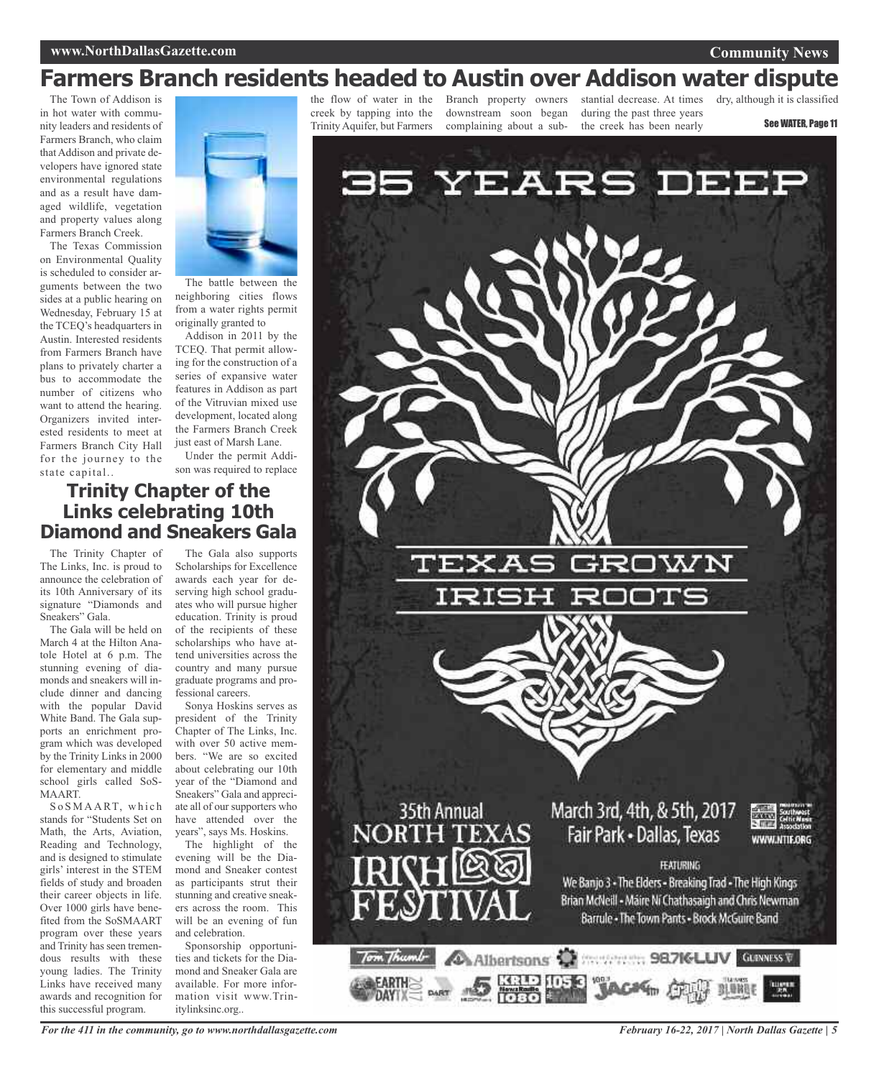#### **www.NorthDallasGazette.com**

#### **Community News**

## **Farmers Branch residents headed to Austin over Addison water dispute**

The Town of Addison is in hot water with community leaders and residents of Farmers Branch, who claim that Addison and private developers have ignored state environmental regulations and as a result have damaged wildlife, vegetation and property values along Farmers Branch Creek.

The Texas Commission on Environmental Quality is scheduled to consider arguments between the two sides at a public hearing on Wednesday, February 15 at the TCEQ's headquarters in Austin. Interested residents from Farmers Branch have plans to privately charter a bus to accommodate the number of citizens who want to attend the hearing. Organizers invited interested residents to meet at Farmers Branch City Hall for the journey to the state capital..



The battle between the neighboring cities flows from a water rights permit originally granted to

Addison in 2011 by the TCEQ. That permit allowing for the construction of a series of expansive water features in Addison as part of the Vitruvian mixed use development, located along the Farmers Branch Creek just east of Marsh Lane.

Under the permit Addison was required to replace

### **Trinity Chapter of the Links celebrating 10th Diamond and Sneakers Gala**

The Trinity Chapter of The Links, Inc. is proud to announce the celebration of its 10th Anniversary of its signature "Diamonds and Sneakers" Gala.

The Gala will be held on March 4 at the Hilton Anatole Hotel at 6 p.m. The stunning evening of diamonds and sneakers will include dinner and dancing with the popular David White Band. The Gala supports an enrichment program which was developed by the Trinity Links in 2000 for elementary and middle school girls called SoS-MAART.

S o S M A A R T, which stands for "Students Set on Math, the Arts, Aviation, Reading and Technology, and is designed to stimulate girls' interest in the STEM fields of study and broaden their career objects in life. Over 1000 girls have benefited from the SoSMAART program over these years and Trinity has seen tremendous results with these young ladies. The Trinity Links have received many awards and recognition for this successful program.

The Gala also supports Scholarships for Excellence awards each year for deserving high school graduates who will pursue higher education. Trinity is proud of the recipients of these scholarships who have attend universities across the country and many pursue graduate programs and professional careers.

Sonya Hoskins serves as president of the Trinity Chapter of The Links, Inc. with over 50 active members. "We are so excited about celebrating our 10th year of the "Diamond and Sneakers" Gala and appreciate all of our supporters who have attended over the years", says Ms. Hoskins.

The highlight of the evening will be the Diamond and Sneaker contest as participants strut their stunning and creative sneakers across the room. This will be an evening of fun and celebration.

Sponsorship opportunities and tickets for the Diamond and Sneaker Gala are available. For more information visit www.Trinitylinksinc.org..

creek by tapping into the Trinity Aquifer, but Farmers

downstream soon began complaining about a sub-

the flow of water in the Branch property owners stantial decrease. At times during the past three years the creek has been nearly

dry, although it is classified

See WATER, Page 11



*For the 411 in the community, go to www.northdallasgazette.com*

*February 16-22, 2017 | North Dallas Gazette | 5*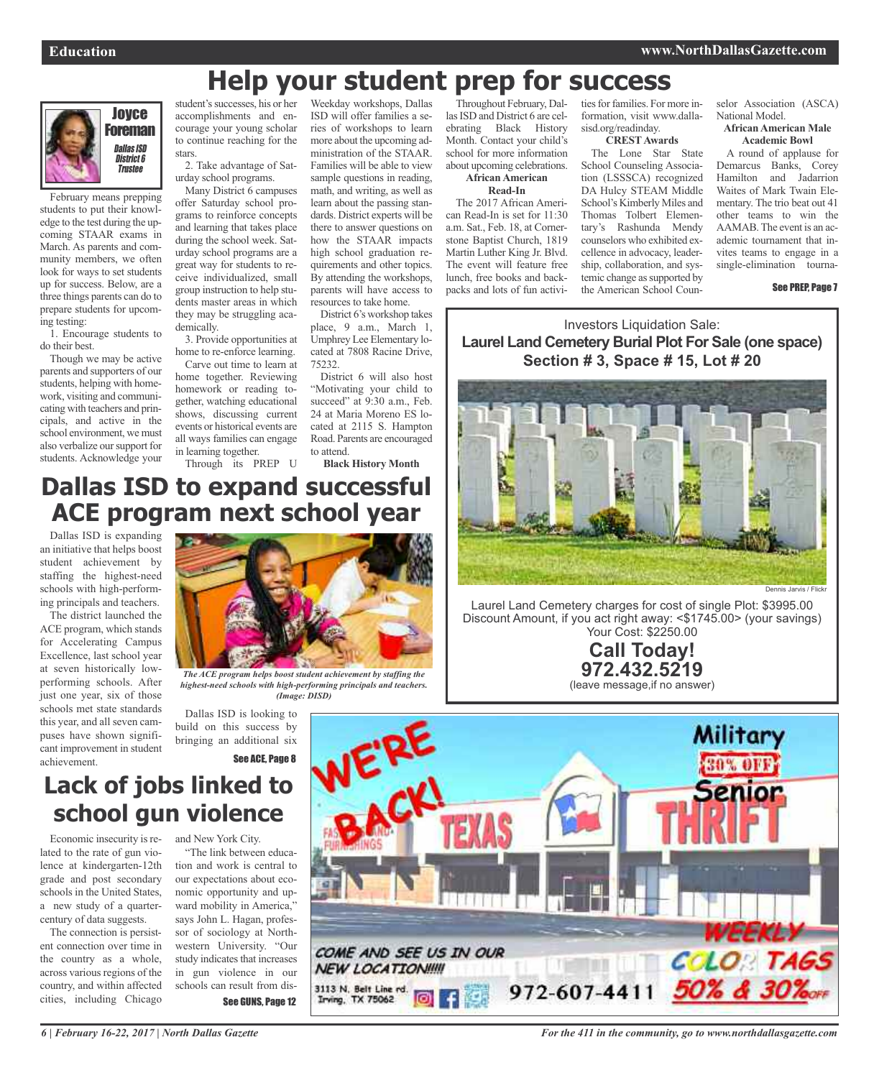#### Joyce Foreman Dallas ISD District 6 **Trustee**

February means prepping students to put their knowledge to the test during the upcoming STAAR exams in March. As parents and community members, we often look for ways to set students up for success. Below, are a three things parents can do to prepare students for upcoming testing:

1. Encourage students to do their best.

Though we may be active parents and supporters of our students, helping with homework, visiting and communicating with teachers and principals, and active in the school environment, we must also verbalize our support for students. Acknowledge your

student's successes, his or her accomplishments and encourage your young scholar to continue reaching for the stars.

2. Take advantage of Saturday school programs.

Many District 6 campuses offer Saturday school programs to reinforce concepts and learning that takes place during the school week. Saturday school programs are a great way for students to receive individualized, small group instruction to help students master areas in which they may be struggling academically.

3. Provide opportunities at home to re-enforce learning.

Carve out time to learn at home together. Reviewing homework or reading together, watching educational shows, discussing current events or historical events are all ways families can engage in learning together.

Through its PREP U

Weekday workshops, Dallas ISD will offer families a series of workshops to learn more about the upcoming administration of the STAAR. Families will be able to view sample questions in reading, math, and writing, as well as learn about the passing standards. District experts will be there to answer questions on how the STAAR impacts high school graduation requirements and other topics. By attending the workshops, parents will have access to resources to take home.

District 6's workshop takes place, 9 a.m., March 1, Umphrey Lee Elementary located at 7808 Racine Drive, 75232.

District 6 will also host "Motivating your child to succeed" at 9:30 a.m., Feb. 24 at Maria Moreno ES located at 2115 S. Hampton Road. Parents are encouraged to attend.

**Black History Month**

Throughout February, Dallas ISD and District 6 are celebrating Black History Month. Contact your child's school for more information about upcoming celebrations. **African American**

**Help your student prep for success**

**Read-In**

The 2017 African American Read-In is set for 11:30 a.m. Sat., Feb. 18, at Cornerstone Baptist Church, 1819 Martin Luther King Jr. Blvd. The event will feature free lunch, free books and backpacks and lots of fun activities for families. For more information, visit www.dallasisd.org/readinday.

#### **CRESTAwards**

The Lone Star State School Counseling Association (LSSSCA) recognized DA Hulcy STEAM Middle School's Kimberly Miles and Thomas Tolbert Elementary's Rashunda Mendy counselors who exhibited excellence in advocacy, leadership, collaboration, and systemic change as supported by the American School Counselor Association (ASCA) National Model.

#### **African American Male Academic Bowl**

A round of applause for Demarcus Banks, Corey Hamilton and Jadarrion Waites of Mark Twain Elementary. The trio beat out 41 other teams to win the AAMAB.The event is an academic tournament that invites teams to engage in a single-elimination tourna-

See PREP, Page 7

Investors Liquidation Sale: **Laurel Land Cemetery Burial Plot For Sale (one space) Section # 3, Space # 15, Lot # 20**



Laurel Land Cemetery charges for cost of single Plot: \$3995.00 Discount Amount, if you act right away: <\$1745.00> (your savings) Your Cost: \$2250.00

> **Call Today! 972.432.5219** (leave message,if no answer)



### **Dallas ISD to expand successful ACE program next school year**

Dallas ISD is expanding an initiative that helps boost student achievement by staffing the highest-need schools with high-performing principals and teachers.

The district launched the ACE program, which stands for Accelerating Campus Excellence, last school year at seven historically lowperforming schools. After just one year, six of those schools met state standards this year, and all seven campuses have shown significant improvement in student achievement.



*The ACE program helps boost student achievement by staffing the highest-need schools with high-performing principals and teachers. (Image: DISD)*

Dallas ISD is looking to build on this success by bringing an additional six

See ACE, Page 8

## **Lack of jobs linked to school gun violence**

Economic insecurity is related to the rate of gun violence at kindergarten-12th grade and post secondary schools in the United States, a new study of a quartercentury of data suggests.

The connection is persistent connection over time in the country as a whole, across various regions of the country, and within affected cities, including Chicago

and New York City. "The link between education and work is central to our expectations about economic opportunity and upward mobility in America," says John L. Hagan, professor of sociology at Northwestern University. "Our study indicates that increases in gun violence in our schools can result from dis-See GUNS, Page 12

*For the 411 in the community, go to www.northdallasgazette.com*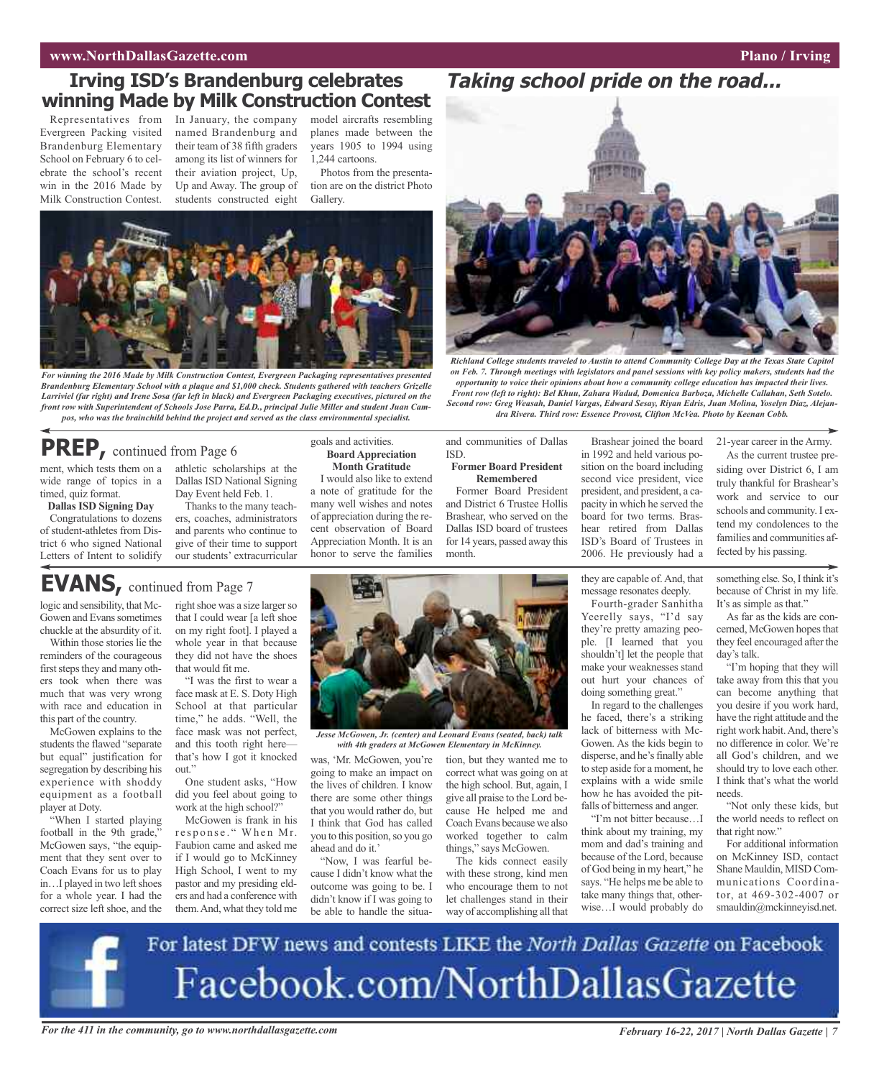#### **www.NorthDallasGazette.com Plano** / **Irving**

### **Irving ISD's Brandenburg celebrates winning Made by Milk Construction Contest**

Evergreen Packing visited Brandenburg Elementary School on February 6 to celebrate the school's recent win in the 2016 Made by Milk Construction Contest.

Representatives from In January, the company model aircrafts resembling named Brandenburg and their team of 38 fifth graders among its list of winners for their aviation project, Up, Up and Away. The group of students constructed eight

planes made between the years 1905 to 1994 using 1,244 cartoons.

Photos from the presentation are on the district Photo Gallery.



*For winning the 2016 Made by Milk Construction Contest, Evergreen Packaging representatives presented Brandenburg Elementary School with a plaque and \$1,000 check. Students gathered with teachers Grizelle* Larriviel (far right) and Irene Sosa (far left in black) and Evergreen Packaging executives, pictured on the *front row with Superintendent of Schools Jose Parra, Ed.D., principal Julie Miller and student Juan Campos, who was the brainchild behind the project and served as the class environmental specialist.*

### **PREP,** continued from Page <sup>6</sup>

**EVANS,** continued from Page <sup>7</sup>

ment, which tests them on a athletic scholarships at the wide range of topics in a timed, quiz format.

**Dallas ISD Signing Day** Congratulations to dozens of student-athletes from District 6 who signed National Letters of Intent to solidify

logic and sensibility, that Mc-Gowen and Evans sometimes chuckle at the absurdity of it. Within those stories lie the reminders of the courageous first steps they and many others took when there was much that was very wrong with race and education in this part of the country. McGowen explains to the students the flawed "separate but equal" justification for segregation by describing his experience with shoddy equipment as a football

player at Doty.

"When I started playing football in the 9th grade,' McGowen says, "the equipment that they sent over to Coach Evans for us to play in...I played in two left shoes for a whole year. I had the correct size left shoe, and the Dallas ISD National Signing Day Event held Feb. 1.

Thanks to the many teachers, coaches, administrators and parents who continue to give of their time to support our students' extracurricular

right shoe was a size larger so that I could wear [a left shoe on my right foot]. I played a whole year in that because they did not have the shoes

"I was the first to wear a face mask at E. S. Doty High School at that particular time," he adds. "Well, the face mask was not perfect, and this tooth right here that's how I got it knocked

One student asks, "How did you feel about going to work at the high school?" McGowen is frank in his response." When Mr. Faubion came and asked me if I would go to McKinney High School, I went to my pastor and my presiding elders and had a conference with them.And, what they told me

that would fit me.

out."

#### goals and activities. **Board Appreciation Month Gratitude**

I would also like to extend a note of gratitude for the many well wishes and notes of appreciation during the recent observation of Board Appreciation Month. It is an honor to serve the families



ISD.

*Jesse McGowen, Jr. (center) and Leonard Evans (seated, back) talk with 4th graders at McGowen Elementary in McKinney.*

was, 'Mr. McGowen, you're tion, but they wanted me to going to make an impact on the lives of children. I know there are some other things that you would rather do, but I think that God has called you to this position, so you go ahead and do it.'

"Now, I was fearful because I didn't know what the outcome was going to be. I didn't know if I was going to be able to handle the situacorrect what was going on at the high school. But, again, I give all praise to the Lord because He helped me and Coach Evans because we also worked together to calm things," says McGowen.

and communities of Dallas

**Former Board President Remembered**

The kids connect easily with these strong, kind men who encourage them to not let challenges stand in their way of accomplishing all that

#### Former Board President and District 6 Trustee Hollis Brashear, who served on the Dallas ISD board of trustees in 1992 and held various position on the board including second vice president, vice president, and president, a capacity in which he served the board for two terms. Brashear retired from Dallas ISD's Board of Trustees in 2006. He previously had a

*Richland College students traveled to Austin to attend Community College Day at the Texas State Capitol on Feb. 7. Through meetings with legislators and panel sessions with key policy makers, students had the opportunity to voice their opinions about how a community college education has impacted their lives. Front row (left to right): Bel Khuu, Zahara Wadud, Domenica Barboza, Michelle Callahan, Seth Sotelo. Second row: Greg Weasah, Daniel Vargas, Edward Sesay, Riyan Edris, Juan Molina, Yoselyn Diaz, Alejandra Rivera. Third row: Essence Provost, Clifton McVea. Photo by Keenan Cobb.*

Brashear joined the board

**Taking school pride on the road...**

they are capable of.And, that message resonates deeply.

Fourth-grader Sanhitha Yeerelly says, "I'd say they're pretty amazing people. [I learned that you shouldn't] let the people that make your weaknesses stand out hurt your chances of doing something great."

In regard to the challenges he faced, there's a striking lack of bitterness with Mc-Gowen. As the kids begin to disperse, and he's finally able to step aside for a moment, he explains with a wide smile how he has avoided the pitfalls of bitterness and anger.

"I'm not bitter because…I think about my training, my mom and dad's training and because of the Lord, because of God being in my heart," he says. "He helps me be able to take many things that, otherwise…I would probably do

21-year career in the Army.

As the current trustee presiding over District 6, I am truly thankful for Brashear's work and service to our schools and community. I extend my condolences to the families and communities affected by his passing.

something else. So, I think it's because of Christ in my life. It's as simple as that."

As far as the kids are concerned, McGowen hopes that they feel encouraged after the day's talk.

"I'm hoping that they will take away from this that you can become anything that you desire if you work hard, have the right attitude and the right work habit.And, there's no difference in color. We're all God's children, and we should try to love each other. I think that's what the world needs.

"Not only these kids, but the world needs to reflect on that right now."

For additional information on McKinney ISD, contact Shane Mauldin, MISD Communications Coordinator, at 469-302-4007 or smauldin@mckinneyisd.net.



For the 411 in the community, go to www.northdallasgazette.com February 16-22, 2017 | North Dallas Gazette | 7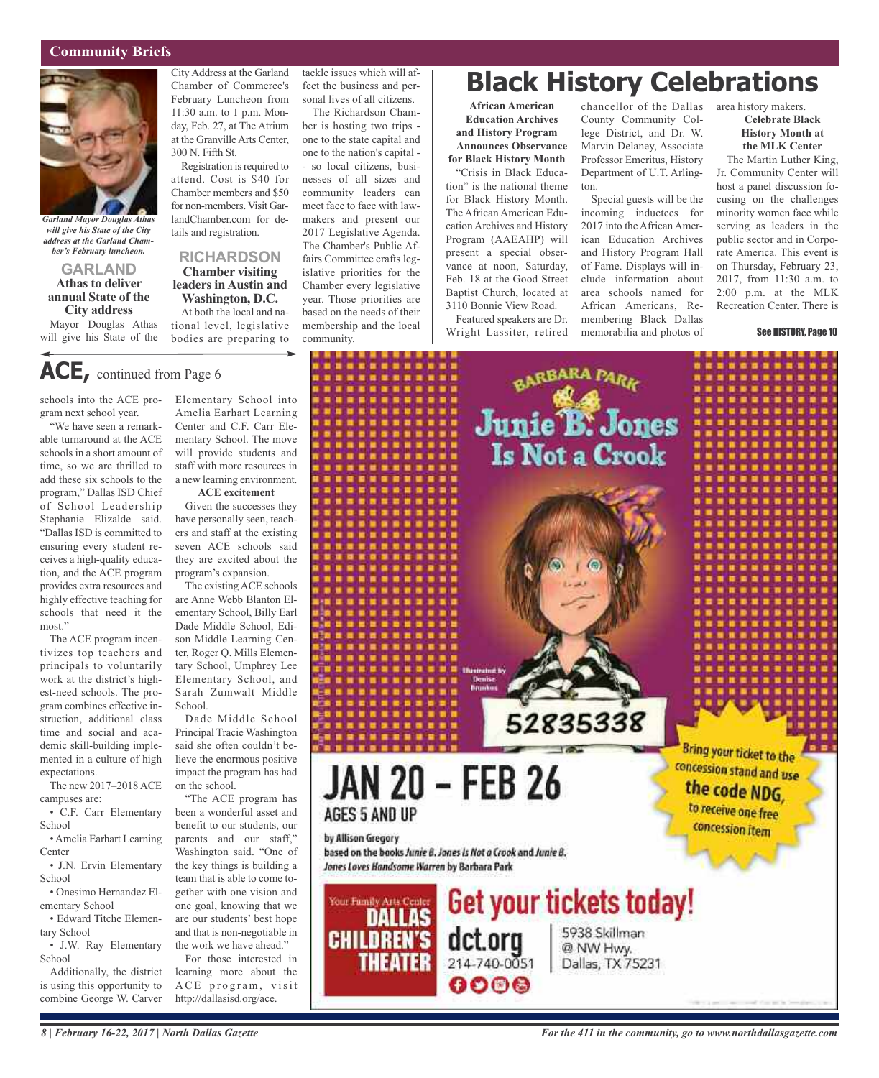#### **Community Briefs**



*Garland Mayor Douglas Athas will give his State of the City address at the Garland Chamber's February luncheon.*

**GARLAND Athas to deliver annual State of the City address** Mayor Douglas Athas will give his State of the

City Address at the Garland Chamber of Commerce's February Luncheon from 11:30 a.m. to 1 p.m. Monday, Feb. 27, at The Atrium at the GranvilleArts Center, 300 N. Fifth St.

Registration is required to attend. Cost is \$40 for Chamber members and \$50 for non-members. Visit GarlandChamber.com for details and registration.

### **RICHARDSON Chamber visiting**

### **leaders in Austin and Washington, D.C.**

At both the local and national level, legislative bodies are preparing to

tackle issues which will affect the business and personal lives of all citizens.

The Richardson Chamber is hosting two trips one to the state capital and one to the nation's capital - - so local citizens, businesses of all sizes and community leaders can meet face to face with lawmakers and present our 2017 Legislative Agenda. The Chamber's Public Affairs Committee crafts legislative priorities for the Chamber every legislative year. Those priorities are based on the needs of their membership and the local community.

## **Black History Celebrations**

**African American Education Archives and History Program Announces Observance for Black History Month** "Crisis in Black Education" is the national theme for Black History Month. The African American Education Archives and History Program (AAEAHP) will present a special observance at noon, Saturday, Feb. 18 at the Good Street Baptist Church, located at 3110 Bonnie View Road.

Featured speakers are Dr. Wright Lassiter, retired

chancellor of the Dallas area history makers. County Community College District, and Dr. W. Marvin Delaney, Associate Professor Emeritus, History Department of U.T. Arlington.

Special guests will be the incoming inductees for 2017 into the African American Education Archives and History Program Hall of Fame. Displays will include information about area schools named for African Americans, Remembering Black Dallas memorabilia and photos of

**Celebrate Black History Month at the MLK Center**

The Martin Luther King, Jr. Community Center will host a panel discussion focusing on the challenges minority women face while serving as leaders in the public sector and in Corporate America. This event is on Thursday, February 23, 2017, from 11:30 a.m. to 2:00 p.m. at the MLK Recreation Center. There is

#### See HISTORY, Page 10

# **ACE,** continued from Page <sup>6</sup>

schools into the ACE program next school year.

"We have seen a remarkable turnaround at the ACE schools in a short amount of time, so we are thrilled to add these six schools to the program," Dallas ISD Chief of School Leadership Stephanie Elizalde said. "Dallas ISD is committed to ensuring every student receives a high-quality education, and the ACE program provides extra resources and highly effective teaching for schools that need it the most."

The ACE program incentivizes top teachers and principals to voluntarily work at the district's highest-need schools. The program combines effective instruction, additional class time and social and academic skill-building implemented in a culture of high expectations.

The new 2017–2018ACE campuses are:

• C.F. Carr Elementary **School** 

•Amelia Earhart Learning **Center** 

• J.N. Ervin Elementary School

• Onesimo Hernandez Elementary School

• Edward Titche Elementary School

• J.W. Ray Elementary School

Additionally, the district is using this opportunity to combine George W. Carver

Elementary School into Amelia Earhart Learning Center and C.F. Carr Elementary School. The move will provide students and staff with more resources in a new learning environment.

#### **ACE excitement**

Given the successes they have personally seen, teachers and staff at the existing seven ACE schools said they are excited about the program's expansion.

The existingACE schools are Anne Webb Blanton Elementary School, Billy Earl Dade Middle School, Edison Middle Learning Center, Roger Q. Mills Elementary School, Umphrey Lee Elementary School, and Sarah Zumwalt Middle School.

Dade Middle School Principal Tracie Washington said she often couldn't believe the enormous positive impact the program has had on the school.

"The ACE program has been a wonderful asset and benefit to our students, our parents and our staff," Washington said. "One of the key things is building a team that is able to come together with one vision and one goal, knowing that we are our students' best hope and that is non-negotiable in the work we have ahead."

For those interested in learning more about the ACE program, visit http://dallasisd.org/ace.

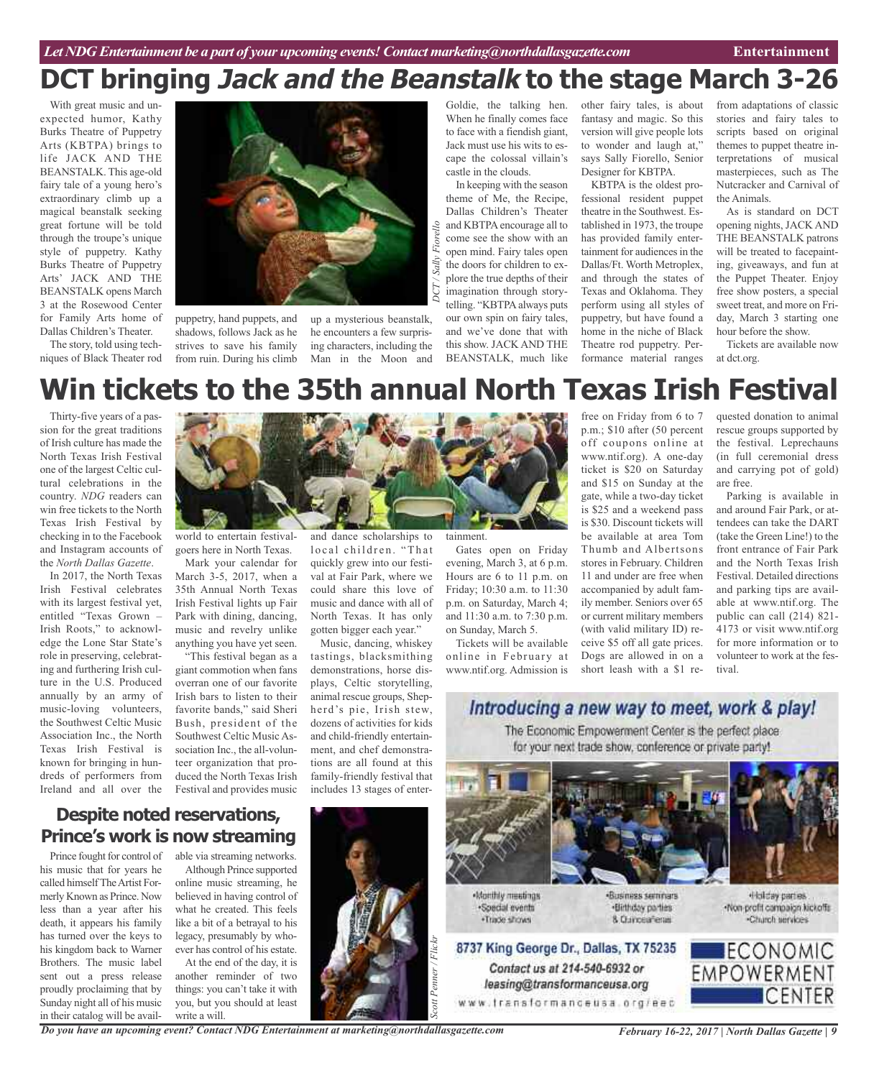# **DCT bringing Jack and the Beanstalk to the stage March 3-26**

With great music and unexpected humor, Kathy Burks Theatre of Puppetry Arts (KBTPA) brings to life JACK AND THE BEANSTALK. This age-old fairy tale of a young hero's extraordinary climb up a magical beanstalk seeking great fortune will be told through the troupe's unique style of puppetry. Kathy Burks Theatre of Puppetry Arts' JACK AND THE BEANSTALK opens March 3 at the Rosewood Center for Family Arts home of Dallas Children's Theater.

The story, told using techniques of Black Theater rod



puppetry, hand puppets, and shadows, follows Jack as he strives to save his family from ruin. During his climb

up a mysterious beanstalk, he encounters a few surprising characters, including the Man in the Moon and Goldie, the talking hen. When he finally comes face to face with a fiendish giant, Jack must use his wits to escape the colossal villain's castle in the clouds.

In keeping with the season theme of Me, the Recipe, Dallas Children's Theater and KBTPA encourage all to come see the show with an open mind. Fairy tales open the doors for children to explore the true depths of their imagination through storytelling. "KBTPA always puts our own spin on fairy tales, and we've done that with this show. JACK AND THE BEANSTALK, much like

other fairy tales, is about fantasy and magic. So this version will give people lots to wonder and laugh at," says Sally Fiorello, Senior Designer for KBTPA.

KBTPA is the oldest professional resident puppet theatre in the Southwest. Established in 1973, the troupe has provided family entertainment for audiences in the Dallas/Ft. Worth Metroplex, and through the states of Texas and Oklahoma. They perform using all styles of puppetry, but have found a home in the niche of Black Theatre rod puppetry. Performance material ranges

from adaptations of classic stories and fairy tales to scripts based on original themes to puppet theatre interpretations of musical masterpieces, such as The Nutcracker and Carnival of the Animals.

As is standard on DCT opening nights, JACK AND THE BEANSTALK patrons will be treated to facepainting, giveaways, and fun at the Puppet Theater. Enjoy free show posters, a special sweet treat, and more on Friday, March 3 starting one hour before the show.

Tickets are available now at dct.org.

# **Win tickets to the 35th annual North Texas Irish Festival**

*D CT/ Sally*

*Fiorello*

Thirty-five years of a passion for the great traditions of Irish culture has made the North Texas Irish Festival one of the largest Celtic cultural celebrations in the country. *NDG* readers can win free tickets to the North Texas Irish Festival by checking in to the Facebook and Instagram accounts of the *North Dallas Gazette*.

In 2017, the North Texas Irish Festival celebrates with its largest festival yet, entitled "Texas Grown – Irish Roots," to acknowledge the Lone Star State's role in preserving, celebrating and furthering Irish culture in the U.S. Produced annually by an army of music-loving volunteers, the Southwest Celtic Music Association Inc., the North Texas Irish Festival is known for bringing in hundreds of performers from Ireland and all over the



world to entertain festivalgoers here in North Texas.

Mark your calendar for March 3-5, 2017, when a 35th Annual North Texas Irish Festival lights up Fair Park with dining, dancing, music and revelry unlike anything you have yet seen.

"This festival began as a giant commotion when fans overran one of our favorite Irish bars to listen to their favorite bands," said Sheri Bush, president of the Southwest Celtic Music Association Inc., the all-volunteer organization that produced the North Texas Irish Festival and provides music and dance scholarships to local children. "That quickly grew into our festival at Fair Park, where we could share this love of music and dance with all of North Texas. It has only gotten bigger each year."

Music, dancing, whiskey tastings, blacksmithing demonstrations, horse displays, Celtic storytelling, animal rescue groups, Shepherd's pie, Irish stew, dozens of activities for kids and child-friendly entertainment, and chef demonstrations are all found at this family-friendly festival that includes 13 stages of entertainment.

Gates open on Friday evening, March 3, at 6 p.m. Hours are 6 to 11 p.m. on Friday; 10:30 a.m. to 11:30 p.m. on Saturday, March 4; and 11:30 a.m. to 7:30 p.m. on Sunday, March 5.

Tickets will be available online in February at www.ntif.org. Admission is

free on Friday from 6 to 7 p.m.; \$10 after (50 percent off coupons online at www.ntif.org). A one-day ticket is \$20 on Saturday and \$15 on Sunday at the gate, while a two-day ticket is \$25 and a weekend pass is \$30. Discount tickets will be available at area Tom Thumb and Albertsons stores in February. Children 11 and under are free when accompanied by adult family member. Seniors over 65 or current military members (with valid military ID) receive \$5 off all gate prices. Dogs are allowed in on a short leash with a \$1 re-

quested donation to animal rescue groups supported by the festival. Leprechauns (in full ceremonial dress and carrying pot of gold) are free.

Parking is available in and around Fair Park, or attendees can take the DART (take the Green Line!) to the front entrance of Fair Park and the North Texas Irish Festival. Detailed directions and parking tips are available at www.ntif.org. The public can call (214) 821- 4173 or visit www.ntif.org for more information or to volunteer to work at the festival.

### Introducing a new way to meet, work & play! The Economic Empowerment Center is the perfect place for your next trade show, conference or private party!

8 Currosafena



Contact us at 214-540-6932 or

leasing@transformanceusa.org

Nonthly meetings ·Special events . Trade shows

·Business seminars «Holday parties. ·Birthday parties

Non-profit compaign kickoffs -Church services



**Despite noted reservations, Prince's work is now streaming**

Prince fought for control of his music that for years he called himselfTheArtist Formerly Known as Prince. Now less than a year after his death, it appears his family has turned over the keys to his kingdom back to Warner Brothers. The music label sent out a press release proudly proclaiming that by Sunday night all of his music in their catalog will be avail-

able via streaming networks. Although Prince supported online music streaming, he believed in having control of what he created. This feels like a bit of a betrayal to his legacy, presumably by whoever has control of his estate.

At the end of the day, it is another reminder of two things: you can't take it with you, but you should at least write a will.

*Do you have an upcoming event? Contact NDG Entertainment at marketing@northdallasgazette.com*



*February 16-22, 2017 | North Dallas Gazette | 9*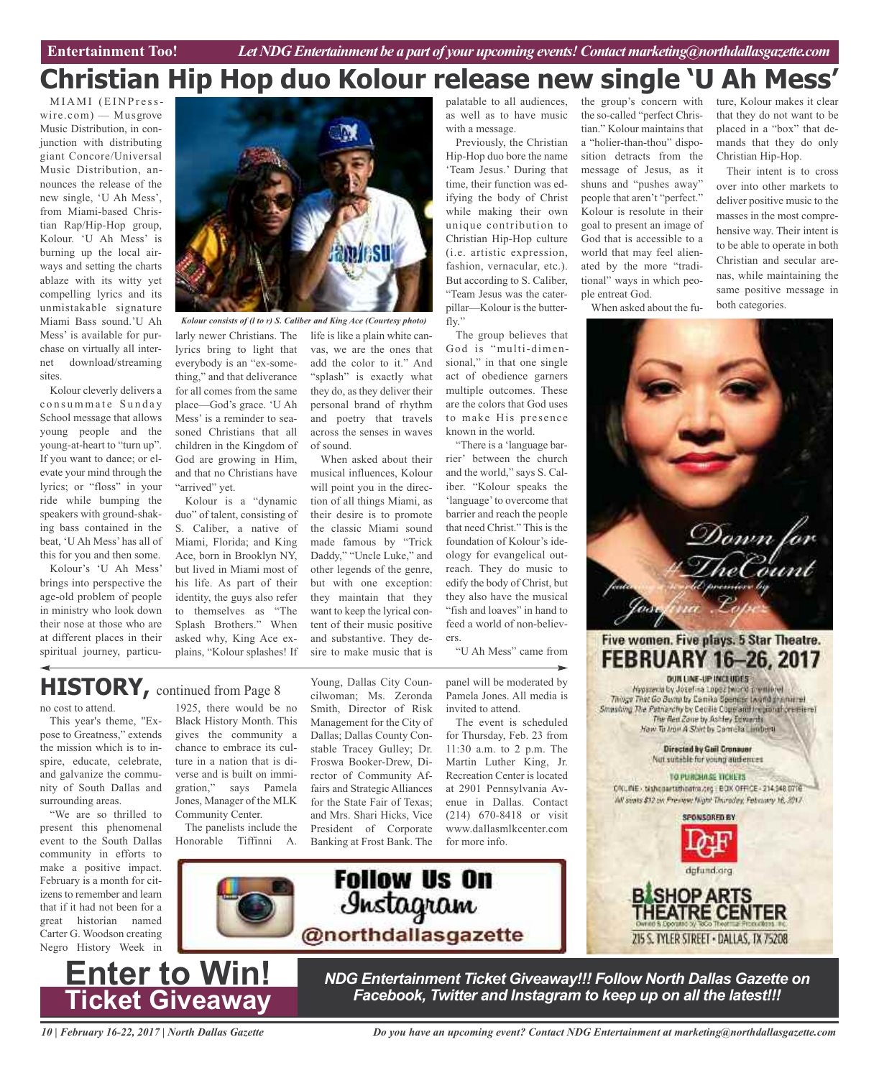#### the group's concern with ture, Kolour makes it clear **Christian Hip Hop duo Kolour release new single 'U Ah Mess'**

MIAMI (EINPresswire.com) — Musgrove Music Distribution, in conjunction with distributing giant Concore/Universal Music Distribution, announces the release of the new single, 'U Ah Mess', from Miami-based Christian Rap/Hip-Hop group, Kolour. 'U Ah Mess' is burning up the local airways and setting the charts ablaze with its witty yet compelling lyrics and its unmistakable signature Miami Bass sound.'U Ah Mess' is available for purchase on virtually all internet download/streaming sites.

Kolour cleverly delivers a consummate Sunday School message that allows young people and the young-at-heart to "turn up". If you want to dance; or elevate your mind through the lyrics; or "floss" in your ride while bumping the speakers with ground-shaking bass contained in the beat, 'U Ah Mess' has all of this for you and then some.

Kolour's 'U Ah Mess' brings into perspective the age-old problem of people in ministry who look down their nose at those who are at different places in their spiritual journey, particu-



larly newer Christians. The lyrics bring to light that everybody is an "ex-something," and that deliverance for all comes from the same place—God's grace. 'U Ah Mess' is a reminder to seasoned Christians that all children in the Kingdom of God are growing in Him, and that no Christians have "arrived" yet. *Kolour consists of (l to r) S. Caliber and King Ace (Courtesy photo)*

Kolour is a "dynamic duo" of talent, consisting of S. Caliber, a native of Miami, Florida; and King Ace, born in Brooklyn NY, but lived in Miami most of his life. As part of their identity, the guys also refer to themselves as "The Splash Brothers." When asked why, King Ace explains, "Kolour splashes! If

life is like a plain white canvas, we are the ones that add the color to it." And "splash" is exactly what they do, as they deliver their personal brand of rhythm and poetry that travels across the senses in waves of sound.

When asked about their musical influences, Kolour will point you in the direction of all things Miami, as their desire is to promote the classic Miami sound made famous by "Trick Daddy," "Uncle Luke," and other legends of the genre, but with one exception: they maintain that they want to keep the lyrical content of their music positive and substantive. They desire to make music that is

Young, Dallas City Councilwoman; Ms. Zeronda

Management for the City of Dallas; Dallas County Constable Tracey Gulley; Dr. Froswa Booker-Drew, Director of Community Affairs and Strategic Alliances for the State Fair of Texas; and Mrs. Shari Hicks, Vice President of Corporate Banking at Frost Bank. The

**Follow Us On** 

Instagram

palatable to all audiences, as well as to have music with a message.

Previously, the Christian Hip-Hop duo bore the name 'Team Jesus.' During that time, their function was edifying the body of Christ while making their own unique contribution to Christian Hip-Hop culture (i.e. artistic expression, fashion, vernacular, etc.). But according to S. Caliber, "Team Jesus was the caterpillar—Kolour is the butterfly."

The group believes that God is "multi-dimensional," in that one single act of obedience garners multiple outcomes. These are the colors that God uses to make His presence known in the world.

"There is a 'language barrier' between the church and the world," says S. Caliber. "Kolour speaks the 'language'to overcome that barrier and reach the people that need Christ." This is the foundation of Kolour's ideology for evangelical outreach. They do music to edify the body of Christ, but they also have the musical "fish and loaves" in hand to feed a world of non-believers.

"U Ah Mess" came from

**HISTORY,** continued from Page <sup>8</sup>

no cost to attend.

This year's theme, "Expose to Greatness," extends the mission which is to inspire, educate, celebrate, and galvanize the community of South Dallas and surrounding areas.

"We are so thrilled to present this phenomenal event to the South Dallas community in efforts to make a positive impact. February is a month for citizens to remember and learn that if it had not been for a great historian named Carter G. Woodson creating Negro History Week in

1925, there would be no Black History Month. This gives the community a chance to embrace its culture in a nation that is diverse and is built on immigration," says Pamela Jones, Manager of the MLK Community Center. Smith, Director of Risk

The panelists include the Honorable Tiffinni A.

panel will be moderated by Pamela Jones. All media is invited to attend. The event is scheduled

for Thursday, Feb. 23 from 11:30 a.m. to 2 p.m. The Martin Luther King, Jr. Recreation Center is located at 2901 Pennsylvania Avenue in Dallas. Contact (214) 670-8418 or visit www.dallasmlkcenter.com for more info.

tian." Kolour maintains that a "holier-than-thou" disposition detracts from the message of Jesus, as it shuns and "pushes away" people that aren't "perfect." Kolour is resolute in their goal to present an image of God that is accessible to a world that may feel alienated by the more "traditional" ways in which people entreat God.

the so-called "perfect Chris-

that they do not want to be placed in a "box" that demands that they do only

Their intent is to cross over into other markets to deliver positive music to the masses in the most comprehensive way. Their intent is to be able to operate in both Christian and secular arenas, while maintaining the same positive message in

Christian Hip-Hop.

both categories.

When asked about the fu-



**BISHOP ARTS HEATRE CENTER** 215 S. TYLER STREET - DALLAS, TX 75208



*NDG Entertainment Ticket Giveaway!!! Follow North Dallas Gazette on Facebook, Twitter and Instagram to keep up on all the latest!!!*

*10 | February 16-22, 2017 | North Dallas Gazette*

*Do you have an upcoming event? Contact NDG Entertainment at marketing@northdallasgazette.com*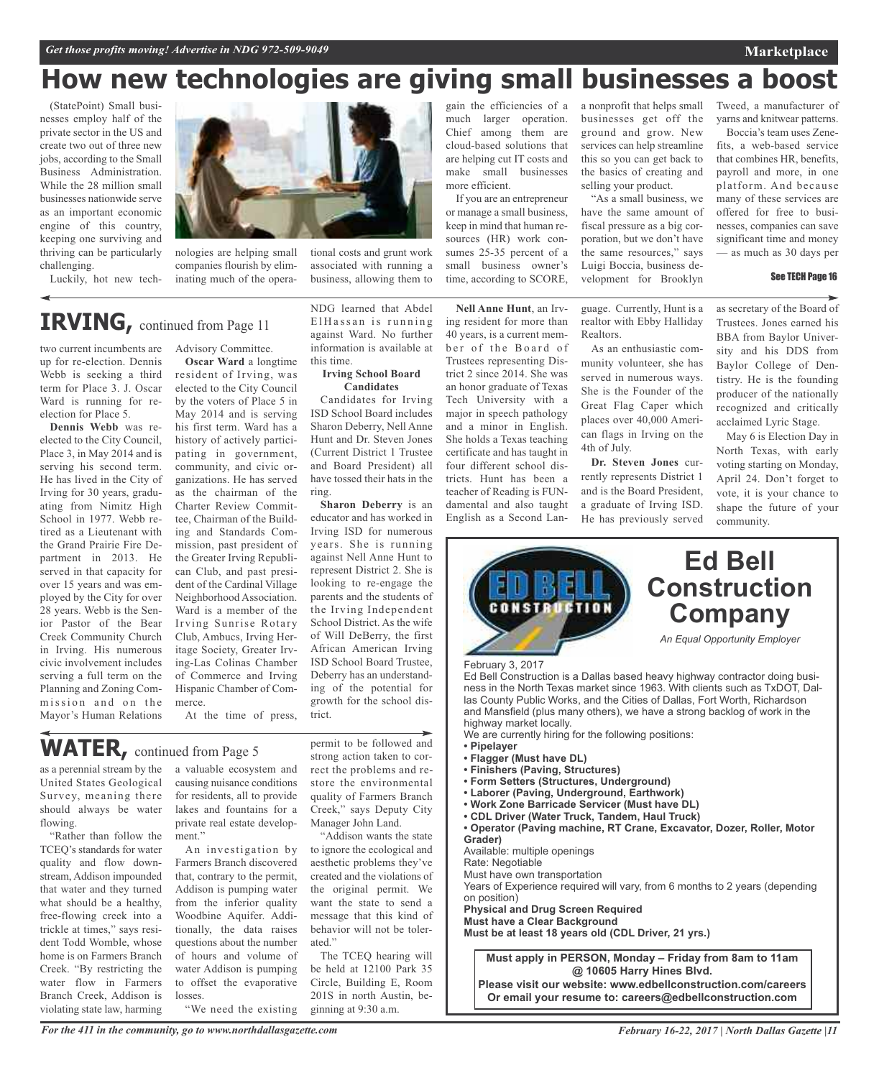# **How new technologies are giving small businesses a boost**

(StatePoint) Small businesses employ half of the private sector in the US and create two out of three new jobs, according to the Small Business Administration. While the 28 million small businesses nationwide serve as an important economic engine of this country, keeping one surviving and thriving can be particularly challenging.

Luckily, hot new tech-



nologies are helping small companies flourish by eliminating much of the opera-

#### tional costs and grunt work associated with running a business, allowing them to

### **IRVING,** continued from Page <sup>11</sup>

two current incumbents are up for re-election. Dennis Webb is seeking a third term for Place 3. J. Oscar Ward is running for reelection for Place 5.

**Dennis Webb** was reelected to the City Council, Place 3, in May 2014 and is serving his second term. He has lived in the City of Irving for 30 years, graduating from Nimitz High School in 1977. Webb retired as a Lieutenant with the Grand Prairie Fire Department in 2013. He served in that capacity for over 15 years and was employed by the City for over 28 years. Webb is the Senior Pastor of the Bear Creek Community Church in Irving. His numerous civic involvement includes serving a full term on the Planning and Zoning Commission and on the Mayor's Human Relations

Advisory Committee. **Oscar Ward** a longtime

resident of Irving, was elected to the City Council by the voters of Place 5 in May 2014 and is serving his first term. Ward has a history of actively participating in government, community, and civic organizations. He has served as the chairman of the Charter Review Committee, Chairman of the Building and Standards Commission, past president of the Greater Irving Republican Club, and past president of the Cardinal Village Neighborhood Association. Ward is a member of the Irving Sunrise Rotary Club, Ambucs, Irving Heritage Society, Greater Irving-Las Colinas Chamber of Commerce and Irving Hispanic Chamber of Commerce.

At the time of press,

## **WATER,** continued from Page <sup>5</sup>

as a perennial stream by the United States Geological Survey, meaning there should always be water flowing.

"Rather than follow the TCEQ's standards for water quality and flow downstream, Addison impounded that water and they turned what should be a healthy, free-flowing creek into a trickle at times," says resident Todd Womble, whose home is on Farmers Branch Creek. "By restricting the water flow in Farmers Branch Creek, Addison is violating state law, harming

a valuable ecosystem and causing nuisance conditions for residents, all to provide lakes and fountains for a private real estate development."

An investigation by Farmers Branch discovered that, contrary to the permit, Addison is pumping water from the inferior quality Woodbine Aquifer. Additionally, the data raises questions about the number of hours and volume of water Addison is pumping to offset the evaporative losses. "We need the existing ElHassan is running against Ward. No further information is available at this time. **Irving School Board**

NDG learned that Abdel

### **Candidates**

Candidates for Irving ISD School Board includes Sharon Deberry, Nell Anne Hunt and Dr. Steven Jones (Current District 1 Trustee and Board President) all have tossed their hats in the ring.

**Sharon Deberry** is an educator and has worked in Irving ISD for numerous years. She is running against Nell Anne Hunt to represent District 2. She is looking to re-engage the parents and the students of the Irving Independent School District. As the wife of Will DeBerry, the first African American Irving ISD School Board Trustee, Deberry has an understanding of the potential for growth for the school district.

permit to be followed and strong action taken to correct the problems and restore the environmental quality of Farmers Branch Creek," says Deputy City

Manager John Land. "Addison wants the state to ignore the ecological and aesthetic problems they've created and the violations of the original permit. We want the state to send a message that this kind of behavior will not be tolerated."

The TCEQ hearing will be held at 12100 Park 35 Circle, Building E, Room 201S in north Austin, beginning at 9:30 a.m.

gain the efficiencies of a much larger operation. Chief among them are cloud-based solutions that are helping cut IT costs and make small businesses more efficient.

If you are an entrepreneur or manage a small business, keep in mind that human resources (HR) work consumes 25-35 percent of a small business owner's time, according to SCORE,

**Nell Anne Hunt**, an Irving resident for more than 40 years, is a current member of the Board of Trustees representing District 2 since 2014. She was an honor graduate of Texas Tech University with a major in speech pathology and a minor in English. She holds a Texas teaching certificate and has taught in four different school districts. Hunt has been a teacher of Reading is FUNdamental and also taught English as a Second Lan-

a nonprofit that helps small businesses get off the ground and grow. New services can help streamline this so you can get back to the basics of creating and selling your product.

"As a small business, we have the same amount of fiscal pressure as a big corporation, but we don't have the same resources," says Luigi Boccia, business development for Brooklyn

guage. Currently, Hunt is a realtor with Ebby Halliday Realtors.

As an enthusiastic community volunteer, she has served in numerous ways. She is the Founder of the Great Flag Caper which places over 40,000 American flags in Irving on the 4th of July.

**Dr. Steven Jones** currently represents District 1 and is the Board President, a graduate of Irving ISD. He has previously served

Tweed, a manufacturer of yarns and knitwear patterns.

**Marketplace**

Boccia's team uses Zenefits, a web-based service that combines HR, benefits, payroll and more, in one platform. And because many of these services are offered for free to businesses, companies can save significant time and money — as much as 30 days per

#### See TECH Page 16

as secretary of the Board of Trustees. Jones earned his BBA from Baylor University and his DDS from Baylor College of Dentistry. He is the founding producer of the nationally recognized and critically acclaimed Lyric Stage.

May 6 is Election Day in North Texas, with early voting starting on Monday, April 24. Don't forget to vote, it is your chance to shape the future of your community.



*For the 411 in the community, go to www.northdallasgazette.com*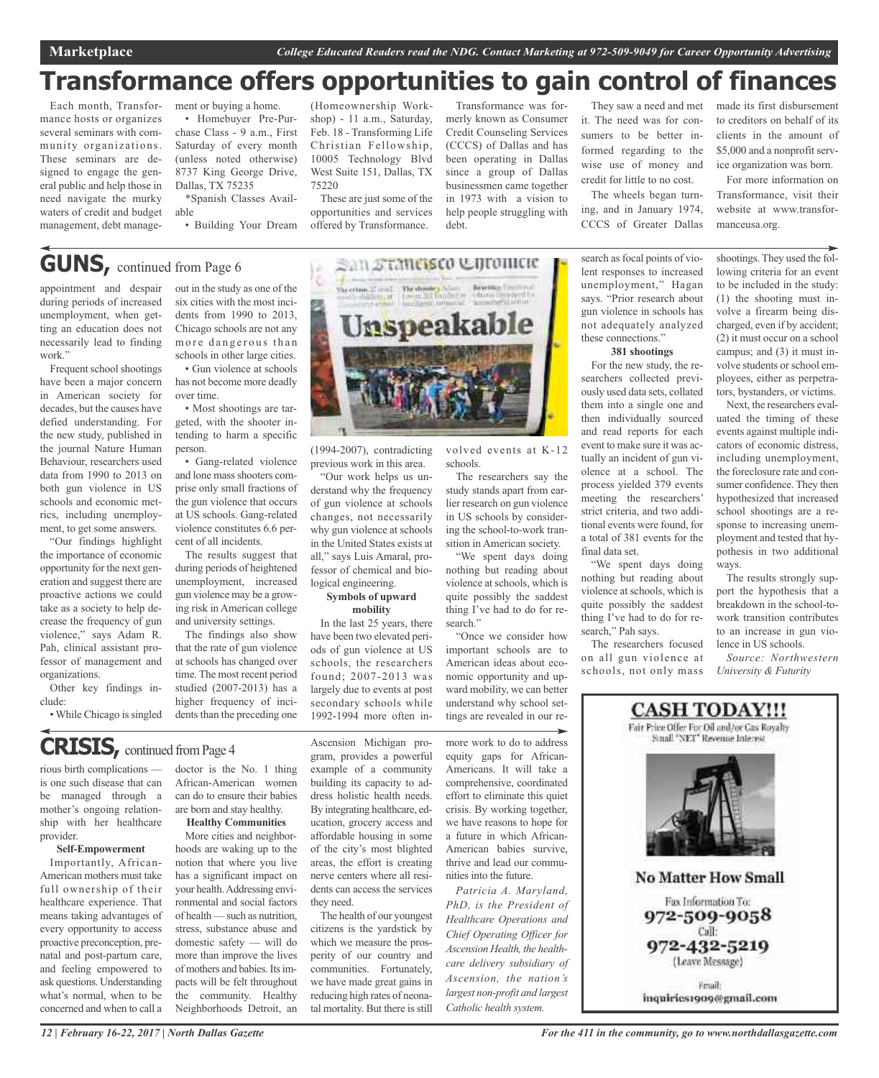## **Transformance offers opportunities to gain control of finances**

Each month, Transformance hosts or organizes several seminars with community organizations. These seminars are designed to engage the general public and help those in need navigate the murky waters of credit and budget management, debt management or buying a home. • Homebuyer Pre-Purchase Class - 9 a.m., First Saturday of every month (unless noted otherwise) 8737 King George Drive, Dallas, TX 75235

\*Spanish Classes Available

• Building Your Dream

(Homeownership Workshop) - 11 a.m., Saturday, Feb. 18 - Transforming Life Christian Fellowship, 10005 Technology Blvd West Suite 151, Dallas, TX 75220

These are just some of the opportunities and services offered by Transformance.

Transformance was formerly known as Consumer Credit Counseling Services (CCCS) of Dallas and has been operating in Dallas since a group of Dallas businessmen came together in 1973 with a vision to help people struggling with debt.

They saw a need and met it. The need was for consumers to be better informed regarding to the wise use of money and credit for little to no cost.

The wheels began turning, and in January 1974, CCCS of Greater Dallas

search as focal points of violent responses to increased unemployment," Hagan says. "Prior research about gun violence in schools has not adequately analyzed these connections."

#### **381 shootings**

For the new study, the researchers collected previously used data sets, collated them into a single one and then individually sourced and read reports for each event to make sure it was actually an incident of gun violence at a school. The process yielded 379 events meeting the researchers' strict criteria, and two additional events were found, for a total of 381 events for the final data set.

"We spent days doing nothing but reading about violence atschools, which is quite possibly the saddest thing I've had to do for research," Pah says.

The researchers focused on all gun violence at schools, not only mass made its first disbursement to creditors on behalf of its clients in the amount of \$5,000 and a nonprofit service organization was born.

For more information on Transformance, visit their website at www.transformanceusa.org.

shootings. They used the following criteria for an event to be included in the study: (1) the shooting must involve a firearm being discharged, even if by accident; (2) it must occur on a school campus; and (3) it must involve students or school employees, either as perpetrators, bystanders, or victims.

Next, the researchers evaluated the timing of these events against multiple indicators of economic distress, including unemployment, the foreclosure rate and consumer confidence. They then hypothesized that increased school shootings are a response to increasing unemployment and tested that hypothesis in two additional ways.

The results strongly support the hypothesis that a breakdown in the school-towork transition contributes to an increase in gun violence in US schools.

*Source: Northwestern University & Futurity*



**GUNS,** continued from Page <sup>6</sup>

appointment and despair during periods of increased unemployment, when getting an education does not necessarily lead to finding work."

Frequent school shootings have been a major concern in American society for decades, but the causes have defied understanding. For the new study, published in the journal Nature Human Behaviour, researchers used data from 1990 to 2013 on both gun violence in US schools and economic metrics, including unemployment, to get some answers.

"Our findings highlight the importance of economic opportunity for the next generation and suggest there are proactive actions we could take as a society to help decrease the frequency of gun violence," says Adam R. Pah, clinical assistant professor of management and organizations.

Other key findings include:

• While Chicago is singled

## **CRISIS,** continued fromPage <sup>4</sup>

rious birth complications is one such disease that can be managed through a mother's ongoing relationship with her healthcare provider.

#### **Self-Empowerment**

Importantly, African-American mothers must take full ownership of their healthcare experience. That means taking advantages of every opportunity to access proactive preconception, prenatal and post-partum care, and feeling empowered to ask questions. Understanding what's normal, when to be concerned and when to call a

out in the study as one of the six cities with the most incidents from 1990 to 2013, Chicago schools are not any more dangerous than schools in other large cities.

• Gun violence at schools has not become more deadly over time.

• Most shootings are targeted, with the shooter intending to harm a specific person.

• Gang-related violence and lone mass shooters comprise only small fractions of the gun violence that occurs at US schools. Gang-related violence constitutes 6.6 percent of all incidents.

The results suggest that during periods of heightened unemployment, increased gun violence may be a growing risk in American college and university settings.

The findings also show that the rate of gun violence at schools has changed over time. The most recent period studied (2007-2013) has a higher frequency of incidents than the preceding one

**Healthy Communities** More cities and neighborhoods are waking up to the notion that where you live has a significant impact on your health.Addressing environmental and social factors of health — such as nutrition, stress, substance abuse and domestic safety — will do more than improve the lives of mothers and babies.Itsimpacts will be felt throughout the community. Healthy Neighborhoods Detroit, an Ascension Michigan program, provides a powerful example of a community building its capacity to address holistic health needs. By integrating healthcare, education, grocery access and affordable housing in some of the city's most blighted areas, the effort is creating nerve centers where all residents can access the services they need.

The health of our youngest citizens is the yardstick by which we measure the prosperity of our country and communities. Fortunately, we have made great gains in reducing high rates of neonatal mortality. But there is still

volved events at K-12 schools.

The researchers say the study stands apart from earlier research on gun violence in US schools by considering the school-to-work transition in American society.

"We spent days doing nothing but reading about violence atschools, which is quite possibly the saddest thing I've had to do for research."

"Once we consider how important schools are to American ideas about economic opportunity and upward mobility, we can better understand why school settings are revealed in our re-

more work to do to address equity gaps for African-Americans. It will take a comprehensive, coordinated effort to eliminate this quiet crisis. By working together, we have reasons to hope for a future in which African-American babies survive, thrive and lead our communities into the future.

*Patricia A. Maryland, PhD, is the President of Healthcare Operations and Chief Operating Officer for Ascension Health, the healthcare delivery subsidiary of Ascension, the nation's largest non-profit and largest Catholic health system.*

*12 | February 16-22, 2017 | North Dallas Gazette*



(1994-2007), contradicting previous work in this area.

"Our work helps us understand why the frequency of gun violence at schools changes, not necessarily why gun violence at schools in the United States exists at all," says Luis Amaral, professor of chemical and biological engineering.

#### **Symbols of upward mobility**

In the last 25 years, there have been two elevated periods of gun violence at US schools, the researchers found; 2007-2013 was largely due to events at post secondary schools while 1992-1994 more often in-

doctor is the No. 1 thing African-American women can do to ensure their babies are born and stay healthy.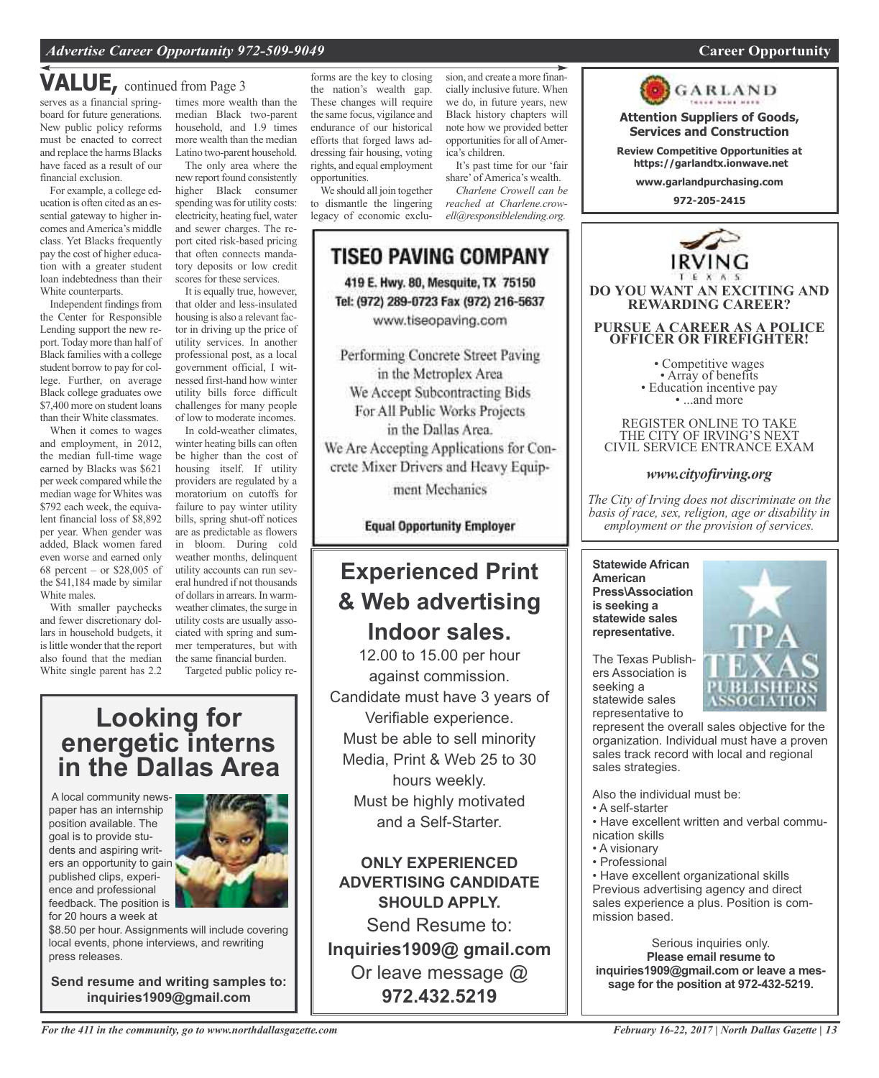## **VALUE,** continued from Page <sup>3</sup>

serves as a financial springboard for future generations. New public policy reforms must be enacted to correct and replace the harms Blacks have faced as a result of our financial exclusion.

For example, a college education is often cited as an essential gateway to higher incomes andAmerica's middle class. Yet Blacks frequently pay the cost of higher education with a greater student loan indebtedness than their White counterparts.

Independent findings from the Center for Responsible Lending support the new report. Today more than half of Black families with a college student borrow to pay for college. Further, on average Black college graduates owe \$7,400 more on student loans than their White classmates.

When it comes to wages and employment, in 2012, the median full-time wage earned by Blacks was \$621 per week compared while the median wage for Whites was \$792 each week, the equivalent financial loss of \$8,892 per year. When gender was added, Black women fared even worse and earned only 68 percent – or \$28,005 of the \$41,184 made by similar White males.

With smaller paychecks and fewer discretionary dollars in household budgets, it is little wonder that the report also found that the median White single parent has 2.2

times more wealth than the median Black two-parent household, and 1.9 times more wealth than the median Latino two-parent household.

The only area where the new report found consistently higher Black consumer spending was for utility costs: electricity, heating fuel, water and sewer charges. The report cited risk-based pricing that often connects mandatory deposits or low credit scores for these services.

It is equally true, however, that older and less-insulated housing is also a relevant factor in driving up the price of utility services. In another professional post, as a local government official, I witnessed first-hand how winter utility bills force difficult challenges for many people of low to moderate incomes.

In cold-weather climates, winter heating bills can often be higher than the cost of housing itself. If utility providers are regulated by a moratorium on cutoffs for failure to pay winter utility bills, spring shut-off notices are as predictable as flowers in bloom. During cold weather months, delinquent utility accounts can run several hundred if not thousands of dollars in arrears. In warmweather climates, the surge in utility costs are usually associated with spring and summer temperatures, but with the same financial burden.

Targeted public policy re-

### **Looking for energetic interns in the Dallas Area**

A local community newspaper has an internship position available. The goal is to provide students and aspiring writers an opportunity to gain published clips, experience and professional feedback. The position is for 20 hours a week at



\$8.50 per hour. Assignments will include covering local events, phone interviews, and rewriting press releases.

**Send resume and writing samples to: inquiries1909@gmail.com**

forms are the key to closing the nation's wealth gap. These changes will require the same focus, vigilance and endurance of our historical efforts that forged laws addressing fair housing, voting rights, and equal employment opportunities.

We should all join together to dismantle the lingering legacy of economic exclusion, and create a more financially inclusive future. When we do, in future years, new Black history chapters will note how we provided better opportunities for all of America's children. It's past time for our 'fair

share' of America's wealth. *Charlene Crowell can be reached at Charlene.crowell@responsiblelending.org.*



Performing Concrete Street Paving in the Metroplex Area We Accept Subcontracting Bids For All Public Works Projects in the Dallas Area. We Are Accepting Applications for Concrete Mixer Drivers and Heavy Equip-

ment Mechanics

**Equal Opportunity Employer** 

## **Experienced Print & Web advertising Indoor sales.**

12.00 to 15.00 per hour against commission. Candidate must have 3 years of Verifiable experience. Must be able to sell minority Media, Print & Web 25 to 30 hours weekly. Must be highly motivated and a Self-Starter.

**ONLY EXPERIENCED ADVERTISING CANDIDATE SHOULD APPLY.**

Send Resume to: **Inquiries1909@ gmail.com** Or leave message @ **972.432.5219**



**Attention Suppliers of Goods, Services and Construction**

**Review Competitive Opportunities at https://garlandtx.ionwave.net**

**www.garlandpurchasing.com**

**972-205-2415**



REGISTER ONLINE TO TAKE THE CITY OF IRVING'S NEXT CIVIL SERVICE ENTRANCE EXAM

#### *www.cityofirving.org*

*The City of Irving does not discriminate on the basis of race, sex, religion, age or disability in employment or the provision of services.*

**Statewide African American Press\Association is seeking a statewide sales representative.**

The Texas Publishers Association is seeking a statewide sales representative to

represent the overall sales objective for the organization. Individual must have a proven sales track record with local and regional sales strategies.

Also the individual must be:

- A self-starter
- Have excellent written and verbal communication skills
- A visionary
- Professional

• Have excellent organizational skills Previous advertising agency and direct sales experience a plus. Position is commission based.

Serious inquiries only. **Please email resume to inquiries1909@gmail.com or leave a message for the position at 972-432-5219.**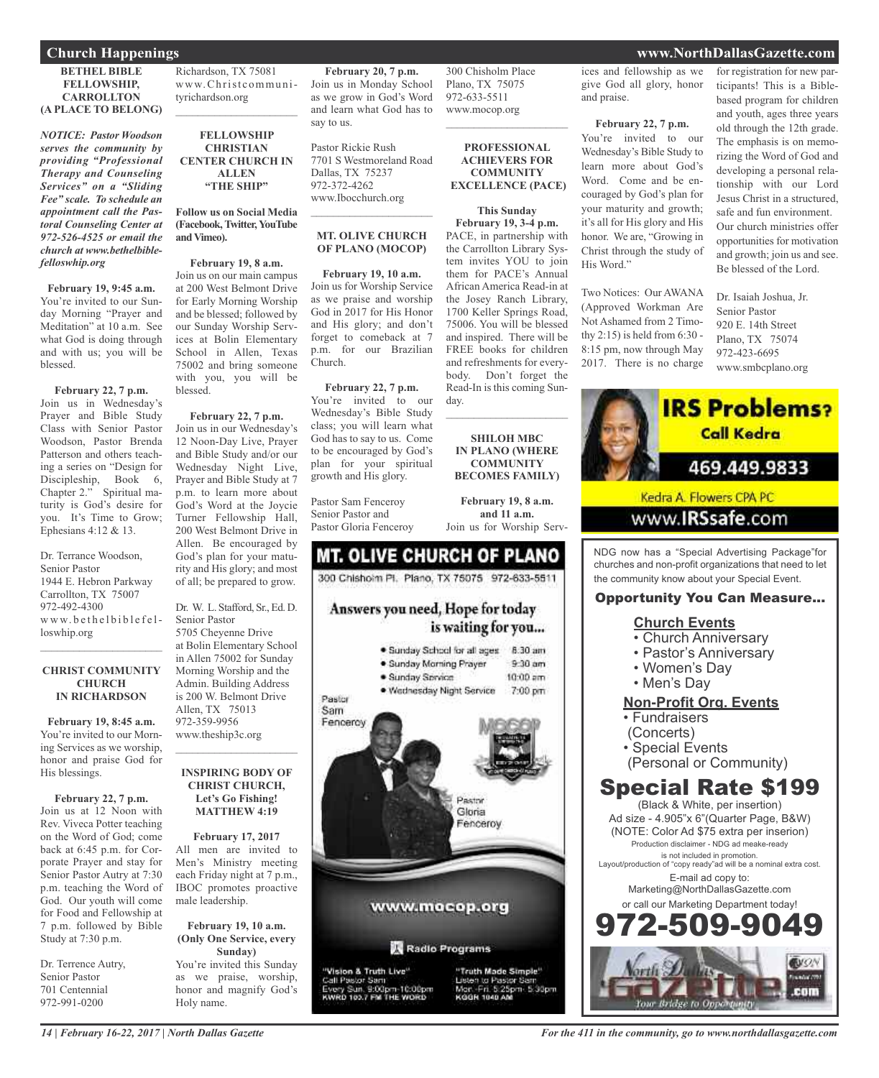**BETHEL BIBLE FELLOWSHIP, CARROLLTON (A PLACE TO BELONG)**

*NOTICE: Pastor Woodson serves the community by providing "Professional Therapy and Counseling Services" on a "Sliding Fee" scale. To schedule an appointment call the Pastoral Counseling Center at 972-526-4525 or email the church at www.bethelbiblefelloswhip.org*

**February 19, 9:45 a.m.** You're invited to our Sunday Morning "Prayer and Meditation" at 10 a.m. See what God is doing through and with us; you will be blessed.

**February 22, 7 p.m.** Join us in Wednesday's Prayer and Bible Study Class with Senior Pastor Woodson, Pastor Brenda Patterson and others teaching a series on "Design for Discipleship, Book 6, Chapter 2." Spiritual maturity is God's desire for you. It's Time to Grow; Ephesians 4:12 & 13.

Dr. Terrance Woodson, Senior Pastor 1944 E. Hebron Parkway Carrollton, TX 75007 972-492-4300 www.bethelbiblefelloswhip.org

#### **CHRIST COMMUNITY CHURCH IN RICHARDSON**

 $\mathcal{L}_\text{max}$  and  $\mathcal{L}_\text{max}$  and  $\mathcal{L}_\text{max}$ 

**February 19, 8:45 a.m.** You're invited to our Morning Services as we worship, honor and praise God for His blessings.

**February 22, 7 p.m.** Join us at 12 Noon with Rev. Viveca Potter teaching on the Word of God; come back at 6:45 p.m. for Corporate Prayer and stay for Senior Pastor Autry at 7:30 p.m. teaching the Word of God. Our youth will come for Food and Fellowship at 7 p.m. followed by Bible Study at 7:30 p.m.

Dr. Terrence Autry, Senior Pastor 701 Centennial 972-991-0200

Richardson, TX 75081 www.Christcommunityrichardson.org  $\mathcal{L}_\text{max}$  , which is a set of the set of the set of the set of the set of the set of the set of the set of the set of the set of the set of the set of the set of the set of the set of the set of the set of the set of

**FELLOWSHIP CHRISTIAN CENTER CHURCH IN ALLEN "THE SHIP"**

**Follow us on Social Media (Facebook,Twitter,YouTube andVimeo).**

**February 19, 8 a.m.** Join us on our main campus at 200 West Belmont Drive for Early Morning Worship and be blessed; followed by our Sunday Worship Services at Bolin Elementary School in Allen, Texas 75002 and bring someone with you, you will be blessed.

### **February 22, 7 p.m.**

Join us in our Wednesday's 12 Noon-Day Live, Prayer and Bible Study and/or our Wednesday Night Live, Prayer and Bible Study at 7 p.m. to learn more about God's Word at the Joycie Turner Fellowship Hall, 200 West Belmont Drive in Allen. Be encouraged by God's plan for your maturity and His glory; and most of all; be prepared to grow.

Dr. W. L. Stafford, Sr., Ed. D. Senior Pastor 5705 Cheyenne Drive at Bolin Elementary School in Allen 75002 for Sunday Morning Worship and the Admin. Building Address is 200 W. Belmont Drive Allen, TX 75013 972-359-9956 www.theship3c.org

#### **INSPIRING BODY OF CHRIST CHURCH, Let's Go Fishing! MATTHEW 4:19**

 $\mathcal{L}_\text{max}$  and  $\mathcal{L}_\text{max}$  and  $\mathcal{L}_\text{max}$ 

**February 17, 2017** All men are invited to Men's Ministry meeting each Friday night at 7 p.m., IBOC promotes proactive male leadership.

**February 19, 10 a.m. (Only One Service, every Sunday)** You're invited this Sunday as we praise, worship, honor and magnify God's Holy name.

**February 20, 7 p.m.** Join us in Monday School as we grow in God's Word and learn what God has to say to us.

300 Chisholm Place Plano, TX 75075 972-633-5511 www.mocop.org

 $\overline{\phantom{a}}$  , which is a set of the set of the set of the set of the set of the set of the set of the set of the set of the set of the set of the set of the set of the set of the set of the set of the set of the set of th

**PROFESSIONAL ACHIEVERS FOR COMMUNITY EXCELLENCE (PACE)**

**This Sunday February 19, 3-4 p.m.** PACE, in partnership with the Carrollton Library System invites YOU to join them for PACE's Annual African America Read-in at the Josey Ranch Library, 1700 Keller Springs Road, 75006. You will be blessed and inspired. There will be FREE books for children and refreshments for everybody. Don't forget the Read-In is this coming Sun-

 $\overline{\phantom{a}}$  , which is a set of the set of the set of the set of the set of the set of the set of the set of the set of the set of the set of the set of the set of the set of the set of the set of the set of the set of th

**SHILOH MBC IN PLANO (WHERE COMMUNITY BECOMES FAMILY)**

**February 19, 8 a.m. and 11 a.m.** Join us for Worship Serv-

Pastor Rickie Rush 7701 S Westmoreland Road Dallas, TX 75237 972-372-4262 www.Ibocchurch.org

#### **MT. OLIVE CHURCH OF PLANO (MOCOP)**

 $\mathcal{L}=\mathcal{L}^{\mathcal{L}}$  , where  $\mathcal{L}^{\mathcal{L}}$  , we have the set of the set of the set of the set of the set of the set of the set of the set of the set of the set of the set of the set of the set of the set of the set of

**February 19, 10 a.m.** Join us for Worship Service as we praise and worship God in 2017 for His Honor and His glory; and don't forget to comeback at 7 p.m. for our Brazilian Church.

**February 22, 7 p.m.** You're invited to our Wednesday's Bible Study class; you will learn what God has to say to us. Come to be encouraged by God's plan for your spiritual growth and His glory.

Pastor Sam Fenceroy Senior Pastor and Pastor Gloria Fenceroy



day.



KODN 1040 AM

ices and fellowship as we give God all glory, honor and praise.

**February 22, 7 p.m.** You're invited to our Wednesday's Bible Study to learn more about God's Word. Come and be encouraged by God's plan for your maturity and growth; it's all for His glory and His honor. We are, "Growing in Christ through the study of His Word."

Two Notices: Our AWANA (Approved Workman Are Not Ashamed from 2 Timothy 2:15) is held from 6:30 - 8:15 pm, now through May 2017. There is no charge for registration for new participants! This is a Biblebased program for children and youth, ages three years old through the 12th grade. The emphasis is on memorizing the Word of God and developing a personal relationship with our Lord Jesus Christ in a structured, safe and fun environment. Our church ministries offer opportunities for motivation and growth; join us and see. Be blessed of the Lord.

Dr. Isaiah Joshua, Jr. Senior Pastor 920 E. 14th Street Plano, TX 75074 972-423-6695 www.smbcplano.org



the community know about your Special Event.

#### Opportunity You Can Measure...

#### **Church Events**

- Church Anniversary
- Pastor's Anniversary
- Women's Day
- Men's Day

#### **Non-Profit Org. Events**

- Fundraisers
- (Concerts)
- Special Events
- (Personal or Community)

### Special Rate \$199

(Black & White, per insertion) Ad size - 4.905"x 6"(Quarter Page, B&W) (NOTE: Color Ad \$75 extra per inserion) Production disclaimer - NDG ad meake-ready is not included in promotion. Layout/production of "copy ready"ad will be a nominal extra cost. E-mail ad copy to: Marketing@NorthDallasGazette.com or call our Marketing Department today! -509-9



### **Church Happenings www.NorthDallasGazette.com**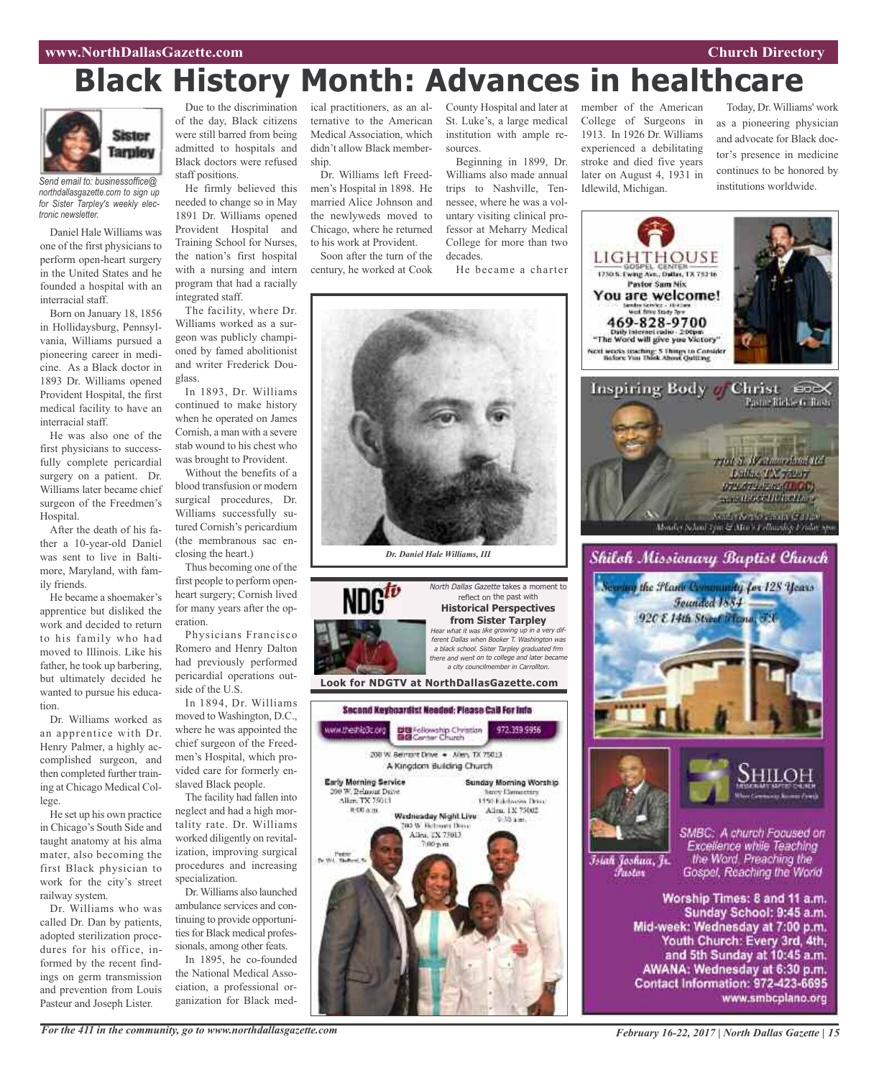#### **www.NorthDallasGazette.com Church Directory**

# **Black History Month: Advances in healthcare**



*Send email to: businessoffice@ northdallasgazette.com to sign up for Sister Tarpley's weekly electronic newsletter.*

Daniel Hale Williams was one of the first physicians to perform open-heart surgery in the United States and he founded a hospital with an interracial staff.

Born on January 18, 1856 in Hollidaysburg, Pennsylvania, Williams pursued a pioneering career in medicine. As a Black doctor in 1893 Dr. Williams opened Provident Hospital, the first medical facility to have an interracial staff.

He was also one of the first physicians to successfully complete pericardial surgery on a patient. Dr. Williams later became chief surgeon of the Freedmen's Hospital.

After the death of his father a 10-year-old Daniel was sent to live in Baltimore, Maryland, with family friends.

He became a shoemaker's apprentice but disliked the work and decided to return to his family who had moved to Illinois. Like his father, he took up barbering, but ultimately decided he wanted to pursue his education.

Dr. Williams worked as an apprentice with Dr. Henry Palmer, a highly accomplished surgeon, and then completed further training at Chicago Medical College.

He set up his own practice in Chicago's South Side and taught anatomy at his alma mater, also becoming the first Black physician to work for the city's street railway system.

Dr. Williams who was called Dr. Dan by patients, adopted sterilization procedures for his office, informed by the recent findings on germ transmission and prevention from Louis Pasteur and Joseph Lister.

Due to the discrimination of the day, Black citizens were still barred from being admitted to hospitals and Black doctors were refused staff positions.

He firmly believed this needed to change so in May 1891 Dr. Williams opened Provident Hospital and Training School for Nurses, the nation's first hospital with a nursing and intern program that had a racially integrated staff.

The facility, where Dr. Williams worked as a surgeon was publicly championed by famed abolitionist and writer Frederick Douglass.

In 1893, Dr. Williams continued to make history when he operated on James Cornish, a man with a severe stab wound to his chest who was brought to Provident.

Without the benefits of a blood transfusion or modern surgical procedures, Dr. Williams successfully sutured Cornish's pericardium (the membranous sac enclosing the heart.)

Thus becoming one of the first people to perform openheart surgery; Cornish lived for many years after the operation.

Physicians Francisco Romero and Henry Dalton had previously performed pericardial operations outside of the U.S.

In 1894, Dr. Williams moved to Washington, D.C., where he was appointed the chief surgeon of the Freedmen's Hospital, which provided care for formerly enslaved Black people.

The facility had fallen into neglect and had a high mortality rate. Dr. Williams worked diligently on revitalization, improving surgical procedures and increasing specialization.

Dr.Williams also launched ambulance services and continuing to provide opportunities for Black medical professionals, among other feats.

In 1895, he co-founded the National Medical Association, a professional organization for Black med-

ical practitioners, as an alternative to the American Medical Association, which didn't allow Black membership.

Dr. Williams left Freedmen's Hospital in 1898. He married Alice Johnson and the newlyweds moved to Chicago, where he returned to his work at Provident.

Soon after the turn of the century, he worked at Cook County Hospital and later at St. Luke's, a large medical institution with ample resources.

Beginning in 1899, Dr. Williams also made annual trips to Nashville, Tennessee, where he was a voluntary visiting clinical professor at Meharry Medical College for more than two decades.

He became a charter



*Dr. Daniel Hale Williams, III*



member of the American College of Surgeons in 1913. In 1926 Dr. Williams experienced a debilitating stroke and died five years later on August 4, 1931 in Idlewild, Michigan.

Today, Dr. Williams' work as a pioneering physician and advocate for Black doctor's presence in medicine continues to be honored by institutions worldwide.





Īsiah Joshua, Jr. Fustor

SMBC: A church Focused on Excellence while Teaching the Word. Preaching the Gospel, Reaching the World

Worship Times: 8 and 11 a.m. Sunday School: 9:45 a.m. Mid-week: Wednesday at 7:00 p.m. Youth Church: Every 3rd, 4th, and 5th Sunday at 10:45 a.m. AWANA: Wednesday at 6:30 p.m. Contact Information: 972-423-6695 www.smbcplano.org